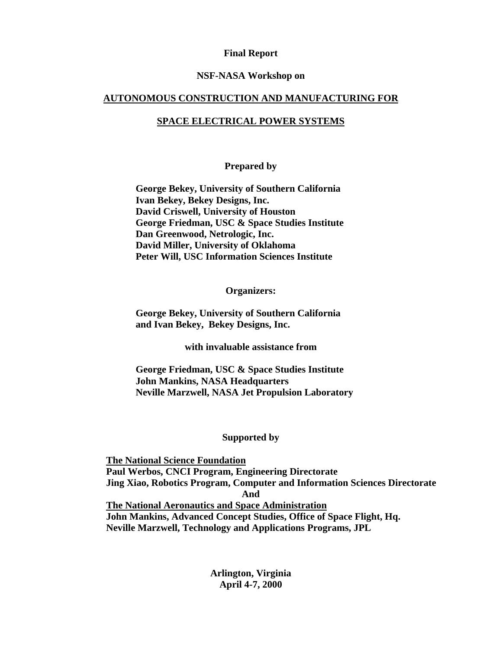#### **Final Report**

#### **NSF-NASA Workshop on**

#### **AUTONOMOUS CONSTRUCTION AND MANUFACTURING FOR**

#### **SPACE ELECTRICAL POWER SYSTEMS**

#### **Prepared by**

**George Bekey, University of Southern California Ivan Bekey, Bekey Designs, Inc. David Criswell, University of Houston George Friedman, USC & Space Studies Institute Dan Greenwood, Netrologic, Inc. David Miller, University of Oklahoma Peter Will, USC Information Sciences Institute** 

#### **Organizers:**

**George Bekey, University of Southern California and Ivan Bekey, Bekey Designs, Inc.** 

**with invaluable assistance from** 

**George Friedman, USC & Space Studies Institute John Mankins, NASA Headquarters Neville Marzwell, NASA Jet Propulsion Laboratory** 

#### **Supported by**

 **The National Science Foundation Paul Werbos, CNCI Program, Engineering Directorate Jing Xiao, Robotics Program, Computer and Information Sciences Directorate And The National Aeronautics and Space Administration John Mankins, Advanced Concept Studies, Office of Space Flight, Hq. Neville Marzwell, Technology and Applications Programs, JPL** 

> **Arlington, Virginia April 4-7, 2000**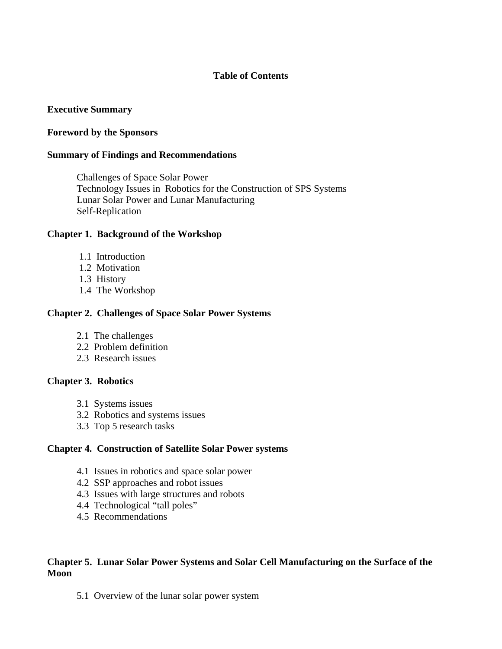# **Table of Contents**

# **Executive Summary**

#### **Foreword by the Sponsors**

#### **Summary of Findings and Recommendations**

 Challenges of Space Solar Power Technology Issues in Robotics for the Construction of SPS Systems Lunar Solar Power and Lunar Manufacturing Self-Replication

#### **Chapter 1. Background of the Workshop**

- 1.1 Introduction
- 1.2 Motivation
- 1.3 History
- 1.4 The Workshop

#### **Chapter 2. Challenges of Space Solar Power Systems**

- 2.1 The challenges
- 2.2 Problem definition
- 2.3 Research issues

#### **Chapter 3. Robotics**

- 3.1 Systems issues
- 3.2 Robotics and systems issues
- 3.3 Top 5 research tasks

#### **Chapter 4. Construction of Satellite Solar Power systems**

- 4.1 Issues in robotics and space solar power
- 4.2 SSP approaches and robot issues
- 4.3 Issues with large structures and robots
- 4.4 Technological "tall poles"
- 4.5 Recommendations

#### **Chapter 5. Lunar Solar Power Systems and Solar Cell Manufacturing on the Surface of the Moon**

5.1 Overview of the lunar solar power system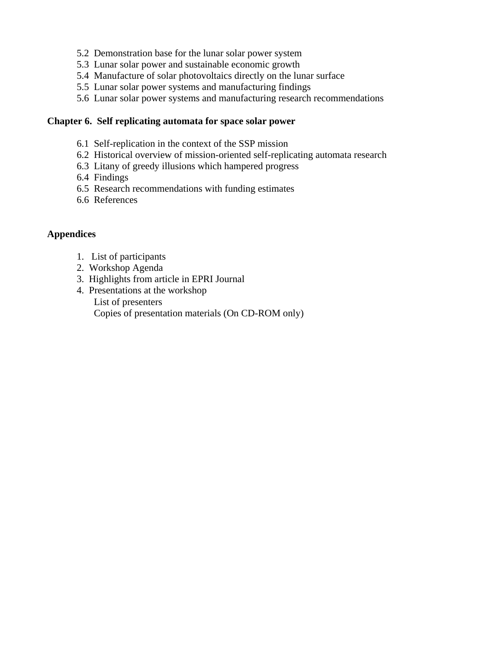- 5.2 Demonstration base for the lunar solar power system
- 5.3 Lunar solar power and sustainable economic growth
- 5.4 Manufacture of solar photovoltaics directly on the lunar surface
- 5.5 Lunar solar power systems and manufacturing findings
- 5.6 Lunar solar power systems and manufacturing research recommendations

#### **Chapter 6. Self replicating automata for space solar power**

- 6.1 Self-replication in the context of the SSP mission
- 6.2 Historical overview of mission-oriented self-replicating automata research
- 6.3 Litany of greedy illusions which hampered progress
- 6.4 Findings
- 6.5 Research recommendations with funding estimates
- 6.6 References

#### **Appendices**

- 1. List of participants
- 2. Workshop Agenda
- 3. Highlights from article in EPRI Journal
- 4. Presentations at the workshop List of presenters Copies of presentation materials (On CD-ROM only)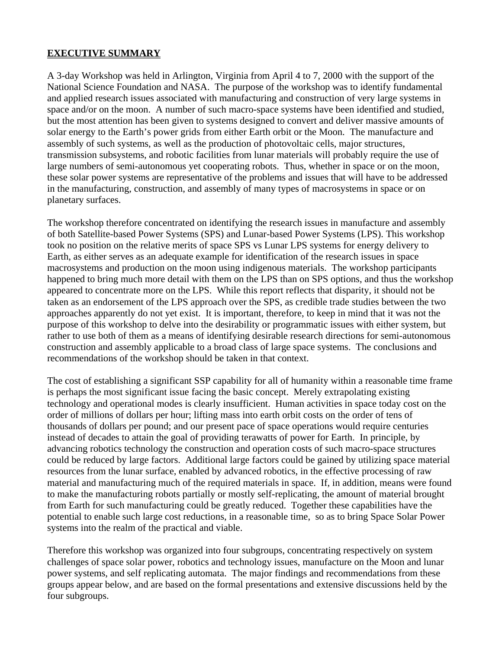# **EXECUTIVE SUMMARY**

A 3-day Workshop was held in Arlington, Virginia from April 4 to 7, 2000 with the support of the National Science Foundation and NASA. The purpose of the workshop was to identify fundamental and applied research issues associated with manufacturing and construction of very large systems in space and/or on the moon. A number of such macro-space systems have been identified and studied, but the most attention has been given to systems designed to convert and deliver massive amounts of solar energy to the Earth's power grids from either Earth orbit or the Moon. The manufacture and assembly of such systems, as well as the production of photovoltaic cells, major structures, transmission subsystems, and robotic facilities from lunar materials will probably require the use of large numbers of semi-autonomous yet cooperating robots. Thus, whether in space or on the moon, these solar power systems are representative of the problems and issues that will have to be addressed in the manufacturing, construction, and assembly of many types of macrosystems in space or on planetary surfaces.

The workshop therefore concentrated on identifying the research issues in manufacture and assembly of both Satellite-based Power Systems (SPS) and Lunar-based Power Systems (LPS). This workshop took no position on the relative merits of space SPS vs Lunar LPS systems for energy delivery to Earth, as either serves as an adequate example for identification of the research issues in space macrosystems and production on the moon using indigenous materials. The workshop participants happened to bring much more detail with them on the LPS than on SPS options, and thus the workshop appeared to concentrate more on the LPS. While this report reflects that disparity, it should not be taken as an endorsement of the LPS approach over the SPS, as credible trade studies between the two approaches apparently do not yet exist. It is important, therefore, to keep in mind that it was not the purpose of this workshop to delve into the desirability or programmatic issues with either system, but rather to use both of them as a means of identifying desirable research directions for semi-autonomous construction and assembly applicable to a broad class of large space systems. The conclusions and recommendations of the workshop should be taken in that context.

The cost of establishing a significant SSP capability for all of humanity within a reasonable time frame is perhaps the most significant issue facing the basic concept. Merely extrapolating existing technology and operational modes is clearly insufficient. Human activities in space today cost on the order of millions of dollars per hour; lifting mass into earth orbit costs on the order of tens of thousands of dollars per pound; and our present pace of space operations would require centuries instead of decades to attain the goal of providing terawatts of power for Earth. In principle, by advancing robotics technology the construction and operation costs of such macro-space structures could be reduced by large factors. Additional large factors could be gained by utilizing space material resources from the lunar surface, enabled by advanced robotics, in the effective processing of raw material and manufacturing much of the required materials in space. If, in addition, means were found to make the manufacturing robots partially or mostly self-replicating, the amount of material brought from Earth for such manufacturing could be greatly reduced. Together these capabilities have the potential to enable such large cost reductions, in a reasonable time, so as to bring Space Solar Power systems into the realm of the practical and viable.

Therefore this workshop was organized into four subgroups, concentrating respectively on system challenges of space solar power, robotics and technology issues, manufacture on the Moon and lunar power systems, and self replicating automata. The major findings and recommendations from these groups appear below, and are based on the formal presentations and extensive discussions held by the four subgroups.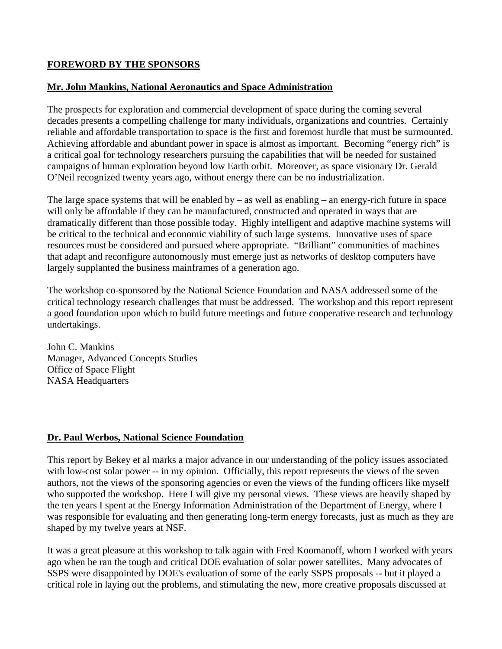# **FOREWORD BY THE SPONSORS**

# **Mr. John Mankins, National Aeronautics and Space Administration**

The prospects for exploration and commercial development of space during the coming several decades presents a compelling challenge for many individuals, organizations and countries. Certainly reliable and affordable transportation to space is the first and foremost hurdle that must be surmounted. Achieving affordable and abundant power in space is almost as important. Becoming "energy rich" is a critical goal for technology researchers pursuing the capabilities that will be needed for sustained campaigns of human exploration beyond low Earth orbit. Moreover, as space visionary Dr. Gerald O'Neil recognized twenty years ago, without energy there can be no industrialization.

The large space systems that will be enabled by  $-$  as well as enabling  $-$  an energy-rich future in space will only be affordable if they can be manufactured, constructed and operated in ways that are dramatically different than those possible today. Highly intelligent and adaptive machine systems will be critical to the technical and economic viability of such large systems. Innovative uses of space resources must be considered and pursued where appropriate. "Brilliant" communities of machines that adapt and reconfigure autonomously must emerge just as networks of desktop computers have largely supplanted the business mainframes of a generation ago.

The workshop co-sponsored by the National Science Foundation and NASA addressed some of the critical technology research challenges that must be addressed. The workshop and this report represent a good foundation upon which to build future meetings and future cooperative research and technology undertakings.

John C. Mankins Manager, Advanced Concepts Studies Office of Space Flight NASA Headquarters

# **Dr. Paul Werbos, National Science Foundation**

This report by Bekey et al marks a major advance in our understanding of the policy issues associated with low-cost solar power -- in my opinion. Officially, this report represents the views of the seven authors, not the views of the sponsoring agencies or even the views of the funding officers like myself who supported the workshop. Here I will give my personal views. These views are heavily shaped by the ten years I spent at the Energy Information Administration of the Department of Energy, where I was responsible for evaluating and then generating long-term energy forecasts, just as much as they are shaped by my twelve years at NSF.

It was a great pleasure at this workshop to talk again with Fred Koomanoff, whom I worked with years ago when he ran the tough and critical DOE evaluation of solar power satellites. Many advocates of SSPS were disappointed by DOE's evaluation of some of the early SSPS proposals -- but it played a critical role in laying out the problems, and stimulating the new, more creative proposals discussed at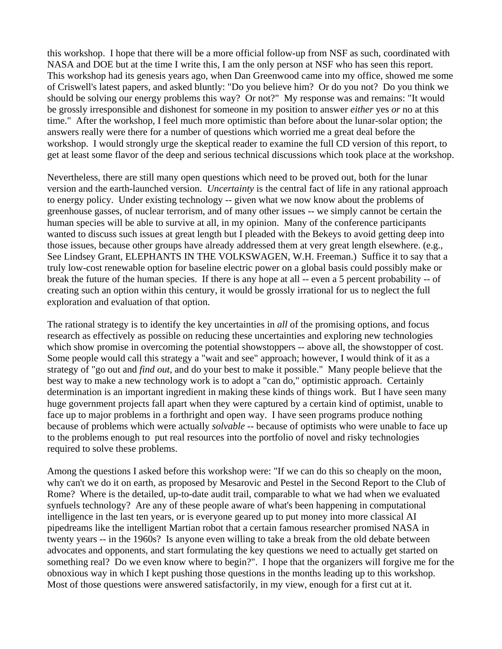this workshop. I hope that there will be a more official follow-up from NSF as such, coordinated with NASA and DOE but at the time I write this, I am the only person at NSF who has seen this report. This workshop had its genesis years ago, when Dan Greenwood came into my office, showed me some of Criswell's latest papers, and asked bluntly: "Do you believe him? Or do you not? Do you think we should be solving our energy problems this way? Or not?" My response was and remains: "It would be grossly irresponsible and dishonest for someone in my position to answer *either* yes *or* no at this time." After the workshop, I feel much more optimistic than before about the lunar-solar option; the answers really were there for a number of questions which worried me a great deal before the workshop. I would strongly urge the skeptical reader to examine the full CD version of this report, to get at least some flavor of the deep and serious technical discussions which took place at the workshop.

Nevertheless, there are still many open questions which need to be proved out, both for the lunar version and the earth-launched version. *Uncertainty* is the central fact of life in any rational approach to energy policy. Under existing technology -- given what we now know about the problems of greenhouse gasses, of nuclear terrorism, and of many other issues -- we simply cannot be certain the human species will be able to survive at all, in my opinion. Many of the conference participants wanted to discuss such issues at great length but I pleaded with the Bekeys to avoid getting deep into those issues, because other groups have already addressed them at very great length elsewhere. (e.g., See Lindsey Grant, ELEPHANTS IN THE VOLKSWAGEN, W.H. Freeman.) Suffice it to say that a truly low-cost renewable option for baseline electric power on a global basis could possibly make or break the future of the human species. If there is any hope at all -- even a 5 percent probability -- of creating such an option within this century, it would be grossly irrational for us to neglect the full exploration and evaluation of that option.

The rational strategy is to identify the key uncertainties in *all* of the promising options, and focus research as effectively as possible on reducing these uncertainties and exploring new technologies which show promise in overcoming the potential showstoppers -- above all, the showstopper of cost. Some people would call this strategy a "wait and see" approach; however, I would think of it as a strategy of "go out and *find out*, and do your best to make it possible." Many people believe that the best way to make a new technology work is to adopt a "can do," optimistic approach. Certainly determination is an important ingredient in making these kinds of things work. But I have seen many huge government projects fall apart when they were captured by a certain kind of optimist, unable to face up to major problems in a forthright and open way. I have seen programs produce nothing because of problems which were actually *solvable* -- because of optimists who were unable to face up to the problems enough to put real resources into the portfolio of novel and risky technologies required to solve these problems.

Among the questions I asked before this workshop were: "If we can do this so cheaply on the moon, why can't we do it on earth, as proposed by Mesarovic and Pestel in the Second Report to the Club of Rome? Where is the detailed, up-to-date audit trail, comparable to what we had when we evaluated synfuels technology? Are any of these people aware of what's been happening in computational intelligence in the last ten years, or is everyone geared up to put money into more classical AI pipedreams like the intelligent Martian robot that a certain famous researcher promised NASA in twenty years -- in the 1960s? Is anyone even willing to take a break from the old debate between advocates and opponents, and start formulating the key questions we need to actually get started on something real? Do we even know where to begin?". I hope that the organizers will forgive me for the obnoxious way in which I kept pushing those questions in the months leading up to this workshop. Most of those questions were answered satisfactorily, in my view, enough for a first cut at it.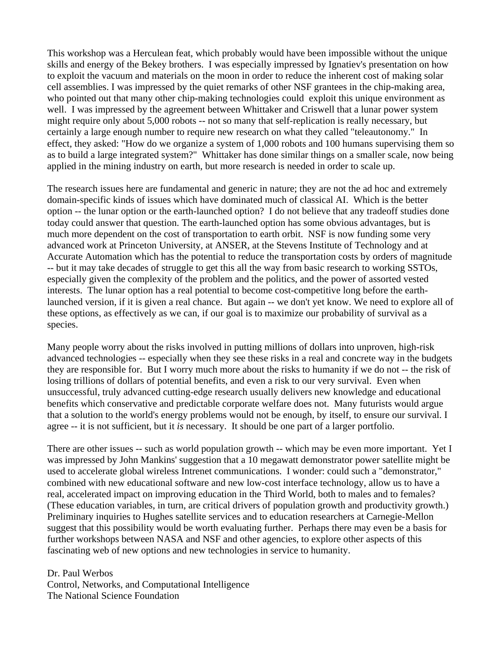This workshop was a Herculean feat, which probably would have been impossible without the unique skills and energy of the Bekey brothers. I was especially impressed by Ignatiev's presentation on how to exploit the vacuum and materials on the moon in order to reduce the inherent cost of making solar cell assemblies. I was impressed by the quiet remarks of other NSF grantees in the chip-making area, who pointed out that many other chip-making technologies could exploit this unique environment as well. I was impressed by the agreement between Whittaker and Criswell that a lunar power system might require only about 5,000 robots -- not so many that self-replication is really necessary, but certainly a large enough number to require new research on what they called "teleautonomy." In effect, they asked: "How do we organize a system of 1,000 robots and 100 humans supervising them so as to build a large integrated system?" Whittaker has done similar things on a smaller scale, now being applied in the mining industry on earth, but more research is needed in order to scale up.

The research issues here are fundamental and generic in nature; they are not the ad hoc and extremely domain-specific kinds of issues which have dominated much of classical AI. Which is the better option -- the lunar option or the earth-launched option? I do not believe that any tradeoff studies done today could answer that question. The earth-launched option has some obvious advantages, but is much more dependent on the cost of transportation to earth orbit. NSF is now funding some very advanced work at Princeton University, at ANSER, at the Stevens Institute of Technology and at Accurate Automation which has the potential to reduce the transportation costs by orders of magnitude -- but it may take decades of struggle to get this all the way from basic research to working SSTOs, especially given the complexity of the problem and the politics, and the power of assorted vested interests. The lunar option has a real potential to become cost-competitive long before the earthlaunched version, if it is given a real chance. But again -- we don't yet know. We need to explore all of these options, as effectively as we can, if our goal is to maximize our probability of survival as a species.

Many people worry about the risks involved in putting millions of dollars into unproven, high-risk advanced technologies -- especially when they see these risks in a real and concrete way in the budgets they are responsible for. But I worry much more about the risks to humanity if we do not -- the risk of losing trillions of dollars of potential benefits, and even a risk to our very survival. Even when unsuccessful, truly advanced cutting-edge research usually delivers new knowledge and educational benefits which conservative and predictable corporate welfare does not. Many futurists would argue that a solution to the world's energy problems would not be enough, by itself, to ensure our survival. I agree -- it is not sufficient, but it *is* necessary. It should be one part of a larger portfolio.

There are other issues -- such as world population growth -- which may be even more important. Yet I was impressed by John Mankins' suggestion that a 10 megawatt demonstrator power satellite might be used to accelerate global wireless Intrenet communications. I wonder: could such a "demonstrator," combined with new educational software and new low-cost interface technology, allow us to have a real, accelerated impact on improving education in the Third World, both to males and to females? (These education variables, in turn, are critical drivers of population growth and productivity growth.) Preliminary inquiries to Hughes satellite services and to education researchers at Carnegie-Mellon suggest that this possibility would be worth evaluating further. Perhaps there may even be a basis for further workshops between NASA and NSF and other agencies, to explore other aspects of this fascinating web of new options and new technologies in service to humanity.

Dr. Paul Werbos

Control, Networks, and Computational Intelligence The National Science Foundation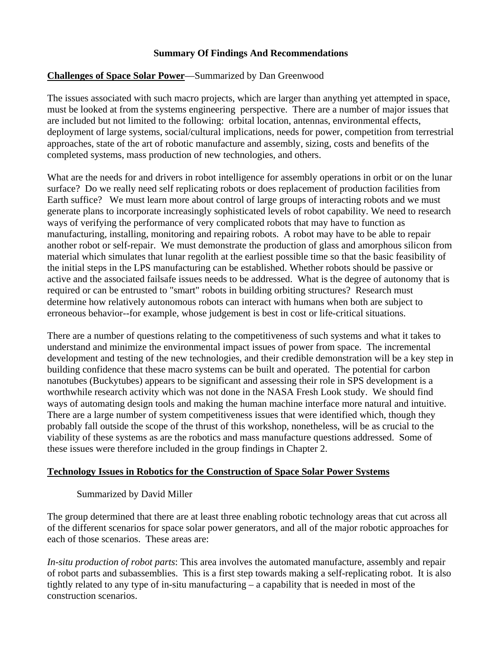# **Summary Of Findings And Recommendations**

# **Challenges of Space Solar Power**—Summarized by Dan Greenwood

The issues associated with such macro projects, which are larger than anything yet attempted in space, must be looked at from the systems engineering perspective. There are a number of major issues that are included but not limited to the following: orbital location, antennas, environmental effects, deployment of large systems, social/cultural implications, needs for power, competition from terrestrial approaches, state of the art of robotic manufacture and assembly, sizing, costs and benefits of the completed systems, mass production of new technologies, and others.

What are the needs for and drivers in robot intelligence for assembly operations in orbit or on the lunar surface? Do we really need self replicating robots or does replacement of production facilities from Earth suffice? We must learn more about control of large groups of interacting robots and we must generate plans to incorporate increasingly sophisticated levels of robot capability. We need to research ways of verifying the performance of very complicated robots that may have to function as manufacturing, installing, monitoring and repairing robots. A robot may have to be able to repair another robot or self-repair. We must demonstrate the production of glass and amorphous silicon from material which simulates that lunar regolith at the earliest possible time so that the basic feasibility of the initial steps in the LPS manufacturing can be established. Whether robots should be passive or active and the associated failsafe issues needs to be addressed. What is the degree of autonomy that is required or can be entrusted to "smart" robots in building orbiting structures? Research must determine how relatively autonomous robots can interact with humans when both are subject to erroneous behavior--for example, whose judgement is best in cost or life-critical situations.

There are a number of questions relating to the competitiveness of such systems and what it takes to understand and minimize the environmental impact issues of power from space. The incremental development and testing of the new technologies, and their credible demonstration will be a key step in building confidence that these macro systems can be built and operated. The potential for carbon nanotubes (Buckytubes) appears to be significant and assessing their role in SPS development is a worthwhile research activity which was not done in the NASA Fresh Look study. We should find ways of automating design tools and making the human machine interface more natural and intuitive. There are a large number of system competitiveness issues that were identified which, though they probably fall outside the scope of the thrust of this workshop, nonetheless, will be as crucial to the viability of these systems as are the robotics and mass manufacture questions addressed. Some of these issues were therefore included in the group findings in Chapter 2.

#### **Technology Issues in Robotics for the Construction of Space Solar Power Systems**

# Summarized by David Miller

The group determined that there are at least three enabling robotic technology areas that cut across all of the different scenarios for space solar power generators, and all of the major robotic approaches for each of those scenarios. These areas are:

*In-situ production of robot parts*: This area involves the automated manufacture, assembly and repair of robot parts and subassemblies. This is a first step towards making a self-replicating robot. It is also tightly related to any type of in-situ manufacturing – a capability that is needed in most of the construction scenarios.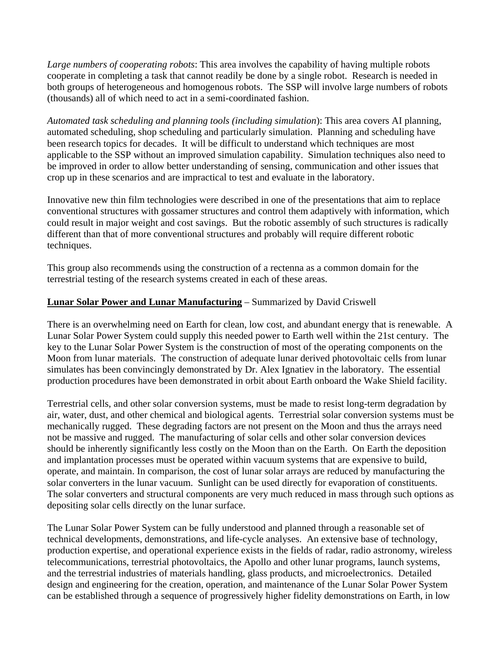*Large numbers of cooperating robots*: This area involves the capability of having multiple robots cooperate in completing a task that cannot readily be done by a single robot. Research is needed in both groups of heterogeneous and homogenous robots. The SSP will involve large numbers of robots (thousands) all of which need to act in a semi-coordinated fashion.

*Automated task scheduling and planning tools (including simulation*): This area covers AI planning, automated scheduling, shop scheduling and particularly simulation. Planning and scheduling have been research topics for decades. It will be difficult to understand which techniques are most applicable to the SSP without an improved simulation capability. Simulation techniques also need to be improved in order to allow better understanding of sensing, communication and other issues that crop up in these scenarios and are impractical to test and evaluate in the laboratory.

Innovative new thin film technologies were described in one of the presentations that aim to replace conventional structures with gossamer structures and control them adaptively with information, which could result in major weight and cost savings. But the robotic assembly of such structures is radically different than that of more conventional structures and probably will require different robotic techniques.

This group also recommends using the construction of a rectenna as a common domain for the terrestrial testing of the research systems created in each of these areas.

# **Lunar Solar Power and Lunar Manufacturing** – Summarized by David Criswell

There is an overwhelming need on Earth for clean, low cost, and abundant energy that is renewable. A Lunar Solar Power System could supply this needed power to Earth well within the 21st century. The key to the Lunar Solar Power System is the construction of most of the operating components on the Moon from lunar materials. The construction of adequate lunar derived photovoltaic cells from lunar simulates has been convincingly demonstrated by Dr. Alex Ignatiev in the laboratory. The essential production procedures have been demonstrated in orbit about Earth onboard the Wake Shield facility.

Terrestrial cells, and other solar conversion systems, must be made to resist long-term degradation by air, water, dust, and other chemical and biological agents. Terrestrial solar conversion systems must be mechanically rugged. These degrading factors are not present on the Moon and thus the arrays need not be massive and rugged. The manufacturing of solar cells and other solar conversion devices should be inherently significantly less costly on the Moon than on the Earth. On Earth the deposition and implantation processes must be operated within vacuum systems that are expensive to build, operate, and maintain. In comparison, the cost of lunar solar arrays are reduced by manufacturing the solar converters in the lunar vacuum. Sunlight can be used directly for evaporation of constituents. The solar converters and structural components are very much reduced in mass through such options as depositing solar cells directly on the lunar surface.

The Lunar Solar Power System can be fully understood and planned through a reasonable set of technical developments, demonstrations, and life-cycle analyses. An extensive base of technology, production expertise, and operational experience exists in the fields of radar, radio astronomy, wireless telecommunications, terrestrial photovoltaics, the Apollo and other lunar programs, launch systems, and the terrestrial industries of materials handling, glass products, and microelectronics. Detailed design and engineering for the creation, operation, and maintenance of the Lunar Solar Power System can be established through a sequence of progressively higher fidelity demonstrations on Earth, in low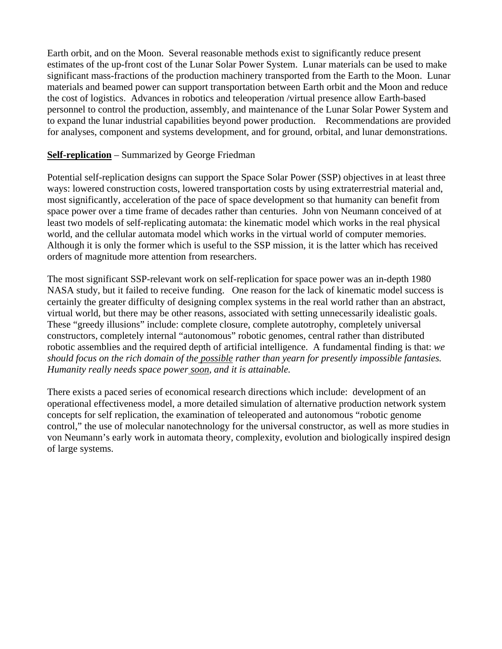Earth orbit, and on the Moon. Several reasonable methods exist to significantly reduce present estimates of the up-front cost of the Lunar Solar Power System. Lunar materials can be used to make significant mass-fractions of the production machinery transported from the Earth to the Moon. Lunar materials and beamed power can support transportation between Earth orbit and the Moon and reduce the cost of logistics. Advances in robotics and teleoperation /virtual presence allow Earth-based personnel to control the production, assembly, and maintenance of the Lunar Solar Power System and to expand the lunar industrial capabilities beyond power production. Recommendations are provided for analyses, component and systems development, and for ground, orbital, and lunar demonstrations.

# **Self-replication** – Summarized by George Friedman

Potential self-replication designs can support the Space Solar Power (SSP) objectives in at least three ways: lowered construction costs, lowered transportation costs by using extraterrestrial material and, most significantly, acceleration of the pace of space development so that humanity can benefit from space power over a time frame of decades rather than centuries. John von Neumann conceived of at least two models of self-replicating automata: the kinematic model which works in the real physical world, and the cellular automata model which works in the virtual world of computer memories. Although it is only the former which is useful to the SSP mission, it is the latter which has received orders of magnitude more attention from researchers.

The most significant SSP-relevant work on self-replication for space power was an in-depth 1980 NASA study, but it failed to receive funding. One reason for the lack of kinematic model success is certainly the greater difficulty of designing complex systems in the real world rather than an abstract, virtual world, but there may be other reasons, associated with setting unnecessarily idealistic goals. These "greedy illusions" include: complete closure, complete autotrophy, completely universal constructors, completely internal "autonomous" robotic genomes, central rather than distributed robotic assemblies and the required depth of artificial intelligence. A fundamental finding is that: *we should focus on the rich domain of the possible rather than yearn for presently impossible fantasies. Humanity really needs space power soon, and it is attainable.* 

There exists a paced series of economical research directions which include: development of an operational effectiveness model, a more detailed simulation of alternative production network system concepts for self replication, the examination of teleoperated and autonomous "robotic genome control," the use of molecular nanotechnology for the universal constructor, as well as more studies in von Neumann's early work in automata theory, complexity, evolution and biologically inspired design of large systems.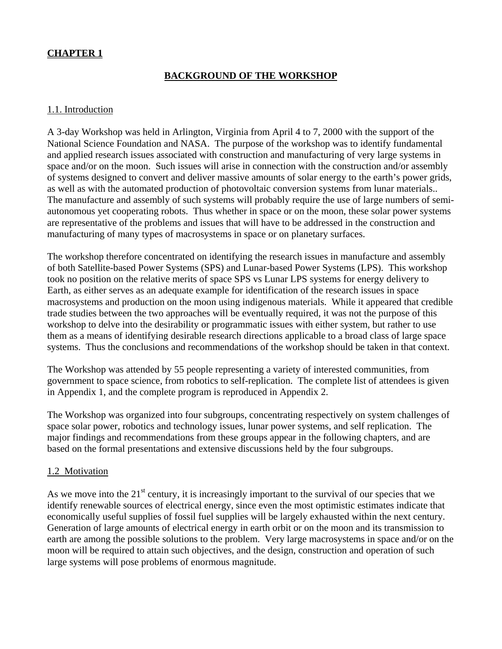# **CHAPTER 1**

# **BACKGROUND OF THE WORKSHOP**

# 1.1. Introduction

A 3-day Workshop was held in Arlington, Virginia from April 4 to 7, 2000 with the support of the National Science Foundation and NASA. The purpose of the workshop was to identify fundamental and applied research issues associated with construction and manufacturing of very large systems in space and/or on the moon. Such issues will arise in connection with the construction and/or assembly of systems designed to convert and deliver massive amounts of solar energy to the earth's power grids, as well as with the automated production of photovoltaic conversion systems from lunar materials.. The manufacture and assembly of such systems will probably require the use of large numbers of semiautonomous yet cooperating robots. Thus whether in space or on the moon, these solar power systems are representative of the problems and issues that will have to be addressed in the construction and manufacturing of many types of macrosystems in space or on planetary surfaces.

The workshop therefore concentrated on identifying the research issues in manufacture and assembly of both Satellite-based Power Systems (SPS) and Lunar-based Power Systems (LPS). This workshop took no position on the relative merits of space SPS vs Lunar LPS systems for energy delivery to Earth, as either serves as an adequate example for identification of the research issues in space macrosystems and production on the moon using indigenous materials. While it appeared that credible trade studies between the two approaches will be eventually required, it was not the purpose of this workshop to delve into the desirability or programmatic issues with either system, but rather to use them as a means of identifying desirable research directions applicable to a broad class of large space systems. Thus the conclusions and recommendations of the workshop should be taken in that context.

The Workshop was attended by 55 people representing a variety of interested communities, from government to space science, from robotics to self-replication. The complete list of attendees is given in Appendix 1, and the complete program is reproduced in Appendix 2.

The Workshop was organized into four subgroups, concentrating respectively on system challenges of space solar power, robotics and technology issues, lunar power systems, and self replication. The major findings and recommendations from these groups appear in the following chapters, and are based on the formal presentations and extensive discussions held by the four subgroups.

# 1.2 Motivation

As we move into the  $21<sup>st</sup>$  century, it is increasingly important to the survival of our species that we identify renewable sources of electrical energy, since even the most optimistic estimates indicate that economically useful supplies of fossil fuel supplies will be largely exhausted within the next century. Generation of large amounts of electrical energy in earth orbit or on the moon and its transmission to earth are among the possible solutions to the problem. Very large macrosystems in space and/or on the moon will be required to attain such objectives, and the design, construction and operation of such large systems will pose problems of enormous magnitude.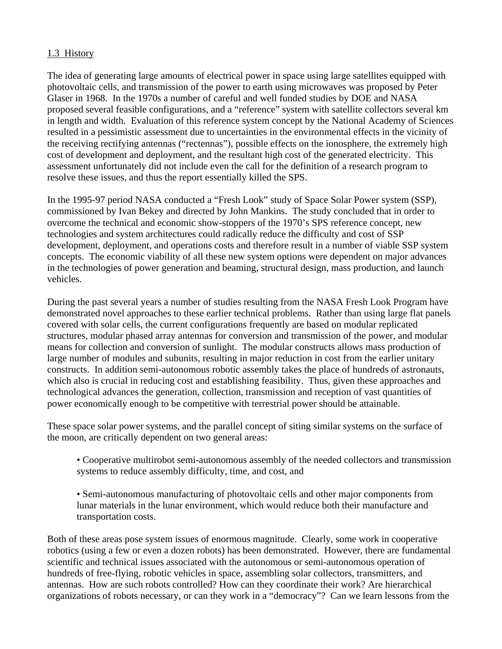# 1.3 History

The idea of generating large amounts of electrical power in space using large satellites equipped with photovoltaic cells, and transmission of the power to earth using microwaves was proposed by Peter Glaser in 1968. In the 1970s a number of careful and well funded studies by DOE and NASA proposed several feasible configurations, and a "reference" system with satellite collectors several km in length and width. Evaluation of this reference system concept by the National Academy of Sciences resulted in a pessimistic assessment due to uncertainties in the environmental effects in the vicinity of the receiving rectifying antennas ("rectennas"), possible effects on the ionosphere, the extremely high cost of development and deployment, and the resultant high cost of the generated electricity. This assessment unfortunately did not include even the call for the definition of a research program to resolve these issues, and thus the report essentially killed the SPS.

In the 1995-97 period NASA conducted a "Fresh Look" study of Space Solar Power system (SSP), commissioned by Ivan Bekey and directed by John Mankins. The study concluded that in order to overcome the technical and economic show-stoppers of the 1970's SPS reference concept, new technologies and system architectures could radically reduce the difficulty and cost of SSP development, deployment, and operations costs and therefore result in a number of viable SSP system concepts. The economic viability of all these new system options were dependent on major advances in the technologies of power generation and beaming, structural design, mass production, and launch vehicles.

During the past several years a number of studies resulting from the NASA Fresh Look Program have demonstrated novel approaches to these earlier technical problems. Rather than using large flat panels covered with solar cells, the current configurations frequently are based on modular replicated structures, modular phased array antennas for conversion and transmission of the power, and modular means for collection and conversion of sunlight. The modular constructs allows mass production of large number of modules and subunits, resulting in major reduction in cost from the earlier unitary constructs. In addition semi-autonomous robotic assembly takes the place of hundreds of astronauts, which also is crucial in reducing cost and establishing feasibility. Thus, given these approaches and technological advances the generation, collection, transmission and reception of vast quantities of power economically enough to be competitive with terrestrial power should be attainable.

These space solar power systems, and the parallel concept of siting similar systems on the surface of the moon, are critically dependent on two general areas:

• Cooperative multirobot semi-autonomous assembly of the needed collectors and transmission systems to reduce assembly difficulty, time, and cost, and

• Semi-autonomous manufacturing of photovoltaic cells and other major components from lunar materials in the lunar environment, which would reduce both their manufacture and transportation costs.

Both of these areas pose system issues of enormous magnitude. Clearly, some work in cooperative robotics (using a few or even a dozen robots) has been demonstrated. However, there are fundamental scientific and technical issues associated with the autonomous or semi-autonomous operation of hundreds of free-flying, robotic vehicles in space, assembling solar collectors, transmitters, and antennas. How are such robots controlled? How can they coordinate their work? Are hierarchical organizations of robots necessary, or can they work in a "democracy"? Can we learn lessons from the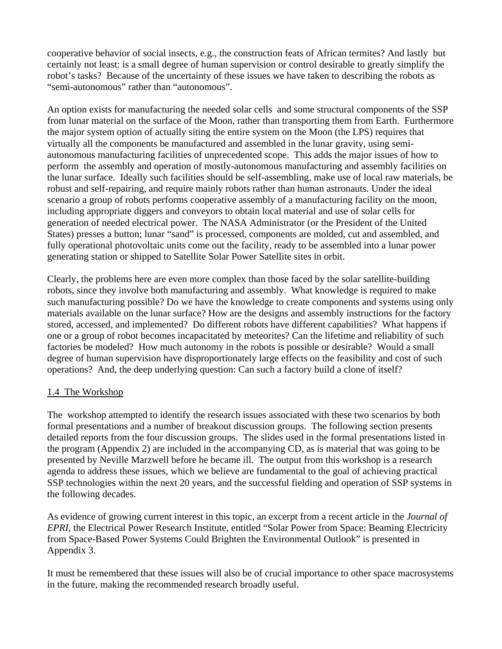cooperative behavior of social insects, e.g., the construction feats of African termites? And lastly but certainly not least: is a small degree of human supervision or control desirable to greatly simplify the robot's tasks? Because of the uncertainty of these issues we have taken to describing the robots as "semi-autonomous" rather than "autonomous".

An option exists for manufacturing the needed solar cells and some structural components of the SSP from lunar material on the surface of the Moon, rather than transporting them from Earth. Furthermore the major system option of actually siting the entire system on the Moon (the LPS) requires that virtually all the components be manufactured and assembled in the lunar gravity, using semiautonomous manufacturing facilities of unprecedented scope. This adds the major issues of how to perform the assembly and operation of mostly-autonomous manufacturing and assembly facilities on the lunar surface. Ideally such facilities should be self-assembling, make use of local raw materials, be robust and self-repairing, and require mainly robots rather than human astronauts. Under the ideal scenario a group of robots performs cooperative assembly of a manufacturing facility on the moon, including appropriate diggers and conveyors to obtain local material and use of solar cells for generation of needed electrical power. The NASA Administrator (or the President of the United States) presses a button; lunar "sand" is processed, components are molded, cut and assembled, and fully operational photovoltaic units come out the facility, ready to be assembled into a lunar power generating station or shipped to Satellite Solar Power Satellite sites in orbit.

Clearly, the problems here are even more complex than those faced by the solar satellite-building robots, since they involve both manufacturing and assembly. What knowledge is required to make such manufacturing possible? Do we have the knowledge to create components and systems using only materials available on the lunar surface? How are the designs and assembly instructions for the factory stored, accessed, and implemented? Do different robots have different capabilities? What happens if one or a group of robot becomes incapacitated by meteorites? Can the lifetime and reliability of such factories be modeled? How much autonomy in the robots is possible or desirable? Would a small degree of human supervision have disproportionately large effects on the feasibility and cost of such operations? And, the deep underlying question: Can such a factory build a clone of itself?

# 1.4 The Workshop

The workshop attempted to identify the research issues associated with these two scenarios by both formal presentations and a number of breakout discussion groups. The following section presents detailed reports from the four discussion groups. The slides used in the formal presentations listed in the program (Appendix 2) are included in the accompanying CD, as is material that was going to be presented by Neville Marzwell before he became ill. The output from this workshop is a research agenda to address these issues, which we believe are fundamental to the goal of achieving practical SSP technologies within the next 20 years, and the successful fielding and operation of SSP systems in the following decades.

As evidence of growing current interest in this topic, an excerpt from a recent article in the *Journal of EPRI*, the Electrical Power Research Institute, entitled "Solar Power from Space: Beaming Electricity from Space-Based Power Systems Could Brighten the Environmental Outlook" is presented in Appendix 3.

It must be remembered that these issues will also be of crucial importance to other space macrosystems in the future, making the recommended research broadly useful.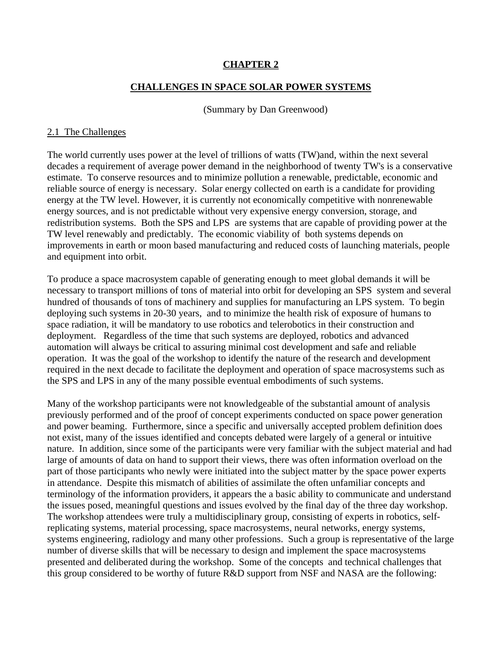# **CHAPTER 2**

#### **CHALLENGES IN SPACE SOLAR POWER SYSTEMS**

(Summary by Dan Greenwood)

#### 2.1 The Challenges

The world currently uses power at the level of trillions of watts (TW)and, within the next several decades a requirement of average power demand in the neighborhood of twenty TW's is a conservative estimate. To conserve resources and to minimize pollution a renewable, predictable, economic and reliable source of energy is necessary. Solar energy collected on earth is a candidate for providing energy at the TW level. However, it is currently not economically competitive with nonrenewable energy sources, and is not predictable without very expensive energy conversion, storage, and redistribution systems. Both the SPS and LPS are systems that are capable of providing power at the TW level renewably and predictably. The economic viability of both systems depends on improvements in earth or moon based manufacturing and reduced costs of launching materials, people and equipment into orbit.

To produce a space macrosystem capable of generating enough to meet global demands it will be necessary to transport millions of tons of material into orbit for developing an SPS system and several hundred of thousands of tons of machinery and supplies for manufacturing an LPS system. To begin deploying such systems in 20-30 years, and to minimize the health risk of exposure of humans to space radiation, it will be mandatory to use robotics and telerobotics in their construction and deployment. Regardless of the time that such systems are deployed, robotics and advanced automation will always be critical to assuring minimal cost development and safe and reliable operation. It was the goal of the workshop to identify the nature of the research and development required in the next decade to facilitate the deployment and operation of space macrosystems such as the SPS and LPS in any of the many possible eventual embodiments of such systems.

Many of the workshop participants were not knowledgeable of the substantial amount of analysis previously performed and of the proof of concept experiments conducted on space power generation and power beaming. Furthermore, since a specific and universally accepted problem definition does not exist, many of the issues identified and concepts debated were largely of a general or intuitive nature. In addition, since some of the participants were very familiar with the subject material and had large of amounts of data on hand to support their views, there was often information overload on the part of those participants who newly were initiated into the subject matter by the space power experts in attendance. Despite this mismatch of abilities of assimilate the often unfamiliar concepts and terminology of the information providers, it appears the a basic ability to communicate and understand the issues posed, meaningful questions and issues evolved by the final day of the three day workshop. The workshop attendees were truly a multidisciplinary group, consisting of experts in robotics, selfreplicating systems, material processing, space macrosystems, neural networks, energy systems, systems engineering, radiology and many other professions. Such a group is representative of the large number of diverse skills that will be necessary to design and implement the space macrosystems presented and deliberated during the workshop. Some of the concepts and technical challenges that this group considered to be worthy of future R&D support from NSF and NASA are the following: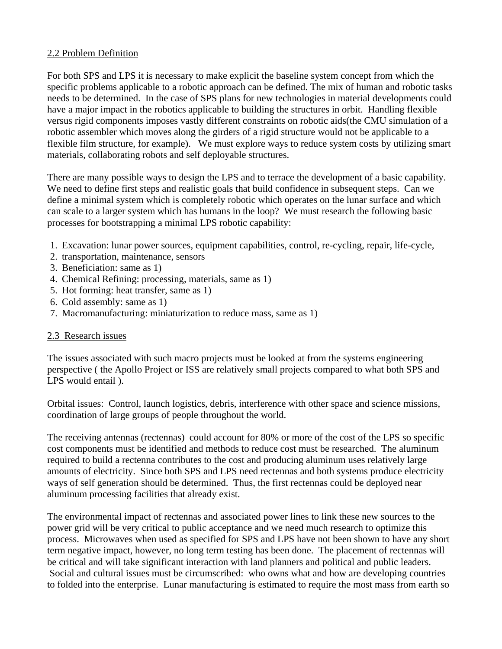# 2.2 Problem Definition

For both SPS and LPS it is necessary to make explicit the baseline system concept from which the specific problems applicable to a robotic approach can be defined. The mix of human and robotic tasks needs to be determined. In the case of SPS plans for new technologies in material developments could have a major impact in the robotics applicable to building the structures in orbit. Handling flexible versus rigid components imposes vastly different constraints on robotic aids(the CMU simulation of a robotic assembler which moves along the girders of a rigid structure would not be applicable to a flexible film structure, for example). We must explore ways to reduce system costs by utilizing smart materials, collaborating robots and self deployable structures.

There are many possible ways to design the LPS and to terrace the development of a basic capability. We need to define first steps and realistic goals that build confidence in subsequent steps. Can we define a minimal system which is completely robotic which operates on the lunar surface and which can scale to a larger system which has humans in the loop? We must research the following basic processes for bootstrapping a minimal LPS robotic capability:

- 1. Excavation: lunar power sources, equipment capabilities, control, re-cycling, repair, life-cycle,
- 2. transportation, maintenance, sensors
- 3. Beneficiation: same as 1)
- 4. Chemical Refining: processing, materials, same as 1)
- 5. Hot forming: heat transfer, same as 1)
- 6. Cold assembly: same as 1)
- 7. Macromanufacturing: miniaturization to reduce mass, same as 1)

#### 2.3 Research issues

The issues associated with such macro projects must be looked at from the systems engineering perspective ( the Apollo Project or ISS are relatively small projects compared to what both SPS and LPS would entail ).

Orbital issues: Control, launch logistics, debris, interference with other space and science missions, coordination of large groups of people throughout the world.

The receiving antennas (rectennas) could account for 80% or more of the cost of the LPS so specific cost components must be identified and methods to reduce cost must be researched. The aluminum required to build a rectenna contributes to the cost and producing aluminum uses relatively large amounts of electricity. Since both SPS and LPS need rectennas and both systems produce electricity ways of self generation should be determined. Thus, the first rectennas could be deployed near aluminum processing facilities that already exist.

The environmental impact of rectennas and associated power lines to link these new sources to the power grid will be very critical to public acceptance and we need much research to optimize this process. Microwaves when used as specified for SPS and LPS have not been shown to have any short term negative impact, however, no long term testing has been done. The placement of rectennas will be critical and will take significant interaction with land planners and political and public leaders. Social and cultural issues must be circumscribed: who owns what and how are developing countries to folded into the enterprise. Lunar manufacturing is estimated to require the most mass from earth so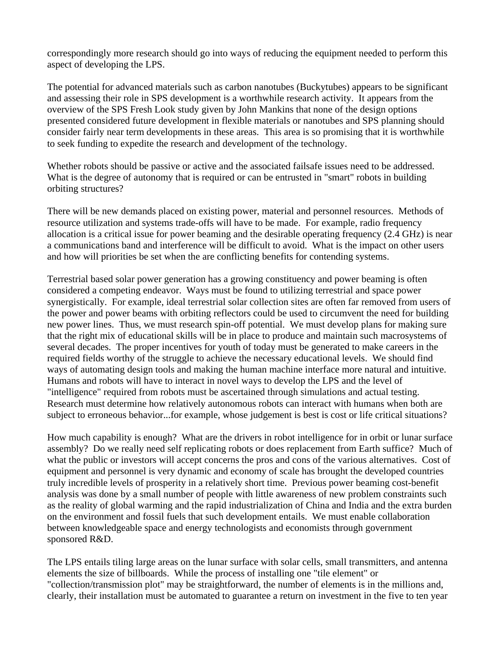correspondingly more research should go into ways of reducing the equipment needed to perform this aspect of developing the LPS.

The potential for advanced materials such as carbon nanotubes (Buckytubes) appears to be significant and assessing their role in SPS development is a worthwhile research activity. It appears from the overview of the SPS Fresh Look study given by John Mankins that none of the design options presented considered future development in flexible materials or nanotubes and SPS planning should consider fairly near term developments in these areas. This area is so promising that it is worthwhile to seek funding to expedite the research and development of the technology.

Whether robots should be passive or active and the associated failsafe issues need to be addressed. What is the degree of autonomy that is required or can be entrusted in "smart" robots in building orbiting structures?

There will be new demands placed on existing power, material and personnel resources. Methods of resource utilization and systems trade-offs will have to be made. For example, radio frequency allocation is a critical issue for power beaming and the desirable operating frequency (2.4 GHz) is near a communications band and interference will be difficult to avoid. What is the impact on other users and how will priorities be set when the are conflicting benefits for contending systems.

Terrestrial based solar power generation has a growing constituency and power beaming is often considered a competing endeavor. Ways must be found to utilizing terrestrial and space power synergistically. For example, ideal terrestrial solar collection sites are often far removed from users of the power and power beams with orbiting reflectors could be used to circumvent the need for building new power lines. Thus, we must research spin-off potential. We must develop plans for making sure that the right mix of educational skills will be in place to produce and maintain such macrosystems of several decades. The proper incentives for youth of today must be generated to make careers in the required fields worthy of the struggle to achieve the necessary educational levels. We should find ways of automating design tools and making the human machine interface more natural and intuitive. Humans and robots will have to interact in novel ways to develop the LPS and the level of "intelligence" required from robots must be ascertained through simulations and actual testing. Research must determine how relatively autonomous robots can interact with humans when both are subject to erroneous behavior...for example, whose judgement is best is cost or life critical situations?

How much capability is enough? What are the drivers in robot intelligence for in orbit or lunar surface assembly? Do we really need self replicating robots or does replacement from Earth suffice? Much of what the public or investors will accept concerns the pros and cons of the various alternatives. Cost of equipment and personnel is very dynamic and economy of scale has brought the developed countries truly incredible levels of prosperity in a relatively short time. Previous power beaming cost-benefit analysis was done by a small number of people with little awareness of new problem constraints such as the reality of global warming and the rapid industrialization of China and India and the extra burden on the environment and fossil fuels that such development entails. We must enable collaboration between knowledgeable space and energy technologists and economists through government sponsored R&D.

The LPS entails tiling large areas on the lunar surface with solar cells, small transmitters, and antenna elements the size of billboards. While the process of installing one "tile element" or "collection/transmission plot" may be straightforward, the number of elements is in the millions and, clearly, their installation must be automated to guarantee a return on investment in the five to ten year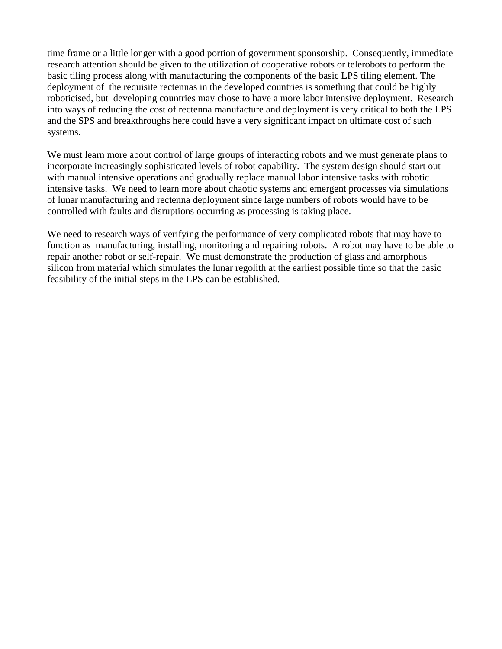time frame or a little longer with a good portion of government sponsorship. Consequently, immediate research attention should be given to the utilization of cooperative robots or telerobots to perform the basic tiling process along with manufacturing the components of the basic LPS tiling element. The deployment of the requisite rectennas in the developed countries is something that could be highly roboticised, but developing countries may chose to have a more labor intensive deployment. Research into ways of reducing the cost of rectenna manufacture and deployment is very critical to both the LPS and the SPS and breakthroughs here could have a very significant impact on ultimate cost of such systems.

We must learn more about control of large groups of interacting robots and we must generate plans to incorporate increasingly sophisticated levels of robot capability. The system design should start out with manual intensive operations and gradually replace manual labor intensive tasks with robotic intensive tasks. We need to learn more about chaotic systems and emergent processes via simulations of lunar manufacturing and rectenna deployment since large numbers of robots would have to be controlled with faults and disruptions occurring as processing is taking place.

We need to research ways of verifying the performance of very complicated robots that may have to function as manufacturing, installing, monitoring and repairing robots. A robot may have to be able to repair another robot or self-repair. We must demonstrate the production of glass and amorphous silicon from material which simulates the lunar regolith at the earliest possible time so that the basic feasibility of the initial steps in the LPS can be established.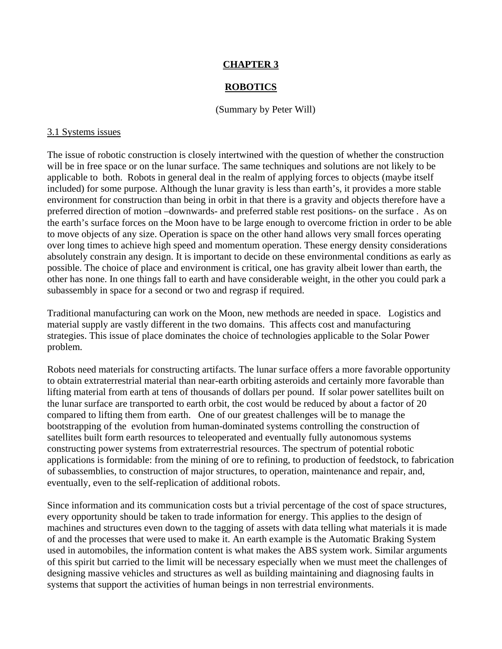# **CHAPTER 3**

#### **ROBOTICS**

(Summary by Peter Will)

#### 3.1 Systems issues

The issue of robotic construction is closely intertwined with the question of whether the construction will be in free space or on the lunar surface. The same techniques and solutions are not likely to be applicable to both. Robots in general deal in the realm of applying forces to objects (maybe itself included) for some purpose. Although the lunar gravity is less than earth's, it provides a more stable environment for construction than being in orbit in that there is a gravity and objects therefore have a preferred direction of motion –downwards- and preferred stable rest positions- on the surface . As on the earth's surface forces on the Moon have to be large enough to overcome friction in order to be able to move objects of any size. Operation is space on the other hand allows very small forces operating over long times to achieve high speed and momentum operation. These energy density considerations absolutely constrain any design. It is important to decide on these environmental conditions as early as possible. The choice of place and environment is critical, one has gravity albeit lower than earth, the other has none. In one things fall to earth and have considerable weight, in the other you could park a subassembly in space for a second or two and regrasp if required.

Traditional manufacturing can work on the Moon, new methods are needed in space. Logistics and material supply are vastly different in the two domains. This affects cost and manufacturing strategies. This issue of place dominates the choice of technologies applicable to the Solar Power problem.

Robots need materials for constructing artifacts. The lunar surface offers a more favorable opportunity to obtain extraterrestrial material than near-earth orbiting asteroids and certainly more favorable than lifting material from earth at tens of thousands of dollars per pound. If solar power satellites built on the lunar surface are transported to earth orbit, the cost would be reduced by about a factor of 20 compared to lifting them from earth. One of our greatest challenges will be to manage the bootstrapping of the evolution from human-dominated systems controlling the construction of satellites built form earth resources to teleoperated and eventually fully autonomous systems constructing power systems from extraterrestrial resources. The spectrum of potential robotic applications is formidable: from the mining of ore to refining, to production of feedstock, to fabrication of subassemblies, to construction of major structures, to operation, maintenance and repair, and, eventually, even to the self-replication of additional robots.

Since information and its communication costs but a trivial percentage of the cost of space structures, every opportunity should be taken to trade information for energy. This applies to the design of machines and structures even down to the tagging of assets with data telling what materials it is made of and the processes that were used to make it. An earth example is the Automatic Braking System used in automobiles, the information content is what makes the ABS system work. Similar arguments of this spirit but carried to the limit will be necessary especially when we must meet the challenges of designing massive vehicles and structures as well as building maintaining and diagnosing faults in systems that support the activities of human beings in non terrestrial environments.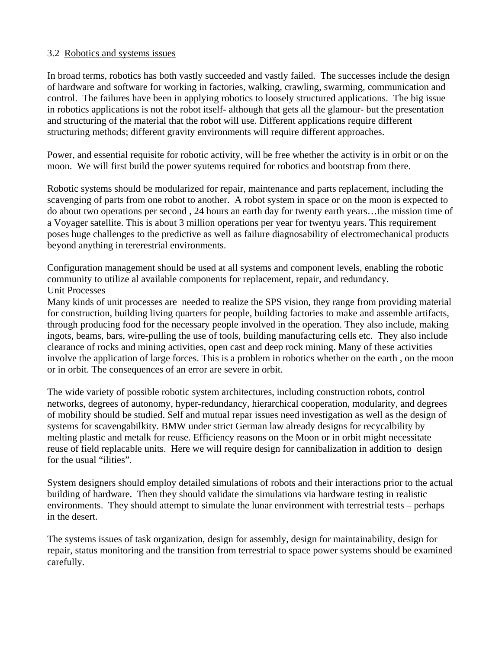#### 3.2 Robotics and systems issues

In broad terms, robotics has both vastly succeeded and vastly failed. The successes include the design of hardware and software for working in factories, walking, crawling, swarming, communication and control. The failures have been in applying robotics to loosely structured applications. The big issue in robotics applications is not the robot itself- although that gets all the glamour- but the presentation and structuring of the material that the robot will use. Different applications require different structuring methods; different gravity environments will require different approaches.

Power, and essential requisite for robotic activity, will be free whether the activity is in orbit or on the moon. We will first build the power syutems required for robotics and bootstrap from there.

Robotic systems should be modularized for repair, maintenance and parts replacement, including the scavenging of parts from one robot to another. A robot system in space or on the moon is expected to do about two operations per second , 24 hours an earth day for twenty earth years…the mission time of a Voyager satellite. This is about 3 million operations per year for twentyu years. This requirement poses huge challenges to the predictive as well as failure diagnosability of electromechanical products beyond anything in tererestrial environments.

Configuration management should be used at all systems and component levels, enabling the robotic community to utilize al available components for replacement, repair, and redundancy. Unit Processes

Many kinds of unit processes are needed to realize the SPS vision, they range from providing material for construction, building living quarters for people, building factories to make and assemble artifacts, through producing food for the necessary people involved in the operation. They also include, making ingots, beams, bars, wire-pulling the use of tools, building manufacturing cells etc. They also include clearance of rocks and mining activities, open cast and deep rock mining. Many of these activities involve the application of large forces. This is a problem in robotics whether on the earth , on the moon or in orbit. The consequences of an error are severe in orbit.

The wide variety of possible robotic system architectures, including construction robots, control networks, degrees of autonomy, hyper-redundancy, hierarchical cooperation, modularity, and degrees of mobility should be studied. Self and mutual repar issues need investigation as well as the design of systems for scavengabilkity. BMW under strict German law already designs for recycalbility by melting plastic and metalk for reuse. Efficiency reasons on the Moon or in orbit might necessitate reuse of field replacable units. Here we will require design for cannibalization in addition to design for the usual "ilities".

System designers should employ detailed simulations of robots and their interactions prior to the actual building of hardware. Then they should validate the simulations via hardware testing in realistic environments. They should attempt to simulate the lunar environment with terrestrial tests – perhaps in the desert.

The systems issues of task organization, design for assembly, design for maintainability, design for repair, status monitoring and the transition from terrestrial to space power systems should be examined carefully.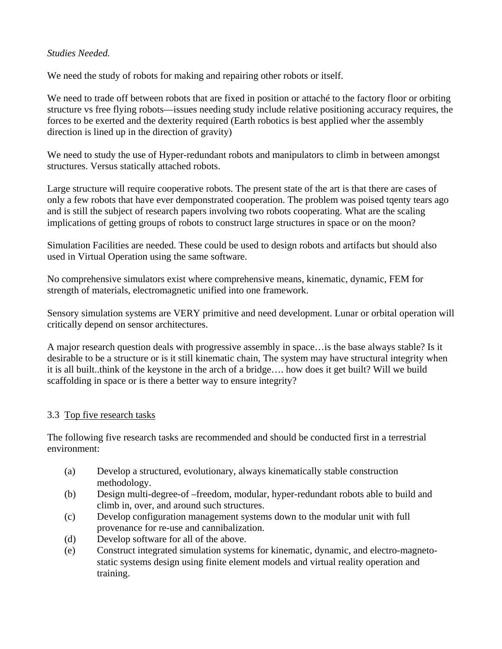# *Studies Needed.*

We need the study of robots for making and repairing other robots or itself.

We need to trade off between robots that are fixed in position or attaché to the factory floor or orbiting structure vs free flying robots—issues needing study include relative positioning accuracy requires, the forces to be exerted and the dexterity required (Earth robotics is best applied wher the assembly direction is lined up in the direction of gravity)

We need to study the use of Hyper-redundant robots and manipulators to climb in between amongst structures. Versus statically attached robots.

Large structure will require cooperative robots. The present state of the art is that there are cases of only a few robots that have ever demponstrated cooperation. The problem was poised tqenty tears ago and is still the subject of research papers involving two robots cooperating. What are the scaling implications of getting groups of robots to construct large structures in space or on the moon?

Simulation Facilities are needed. These could be used to design robots and artifacts but should also used in Virtual Operation using the same software.

No comprehensive simulators exist where comprehensive means, kinematic, dynamic, FEM for strength of materials, electromagnetic unified into one framework.

Sensory simulation systems are VERY primitive and need development. Lunar or orbital operation will critically depend on sensor architectures.

A major research question deals with progressive assembly in space…is the base always stable? Is it desirable to be a structure or is it still kinematic chain, The system may have structural integrity when it is all built..think of the keystone in the arch of a bridge…. how does it get built? Will we build scaffolding in space or is there a better way to ensure integrity?

# 3.3 Top five research tasks

The following five research tasks are recommended and should be conducted first in a terrestrial environment:

- (a) Develop a structured, evolutionary, always kinematically stable construction methodology.
- (b) Design multi-degree-of –freedom, modular, hyper-redundant robots able to build and climb in, over, and around such structures.
- (c) Develop configuration management systems down to the modular unit with full provenance for re-use and cannibalization.
- (d) Develop software for all of the above.
- (e) Construct integrated simulation systems for kinematic, dynamic, and electro-magnetostatic systems design using finite element models and virtual reality operation and training.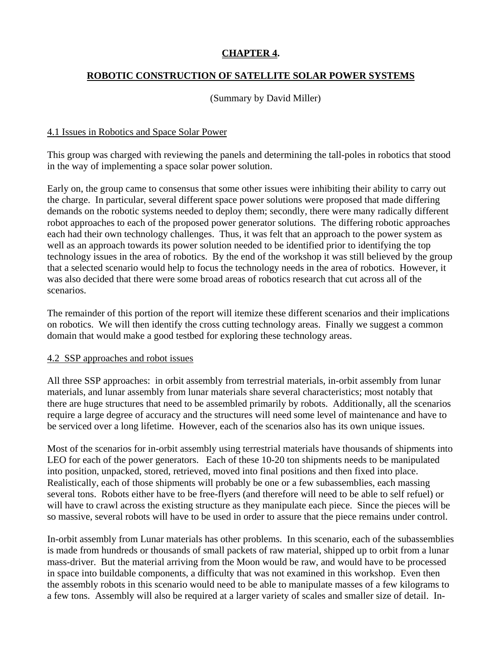# **CHAPTER 4.**

# **ROBOTIC CONSTRUCTION OF SATELLITE SOLAR POWER SYSTEMS**

# (Summary by David Miller)

#### 4.1 Issues in Robotics and Space Solar Power

This group was charged with reviewing the panels and determining the tall-poles in robotics that stood in the way of implementing a space solar power solution.

Early on, the group came to consensus that some other issues were inhibiting their ability to carry out the charge. In particular, several different space power solutions were proposed that made differing demands on the robotic systems needed to deploy them; secondly, there were many radically different robot approaches to each of the proposed power generator solutions. The differing robotic approaches each had their own technology challenges. Thus, it was felt that an approach to the power system as well as an approach towards its power solution needed to be identified prior to identifying the top technology issues in the area of robotics. By the end of the workshop it was still believed by the group that a selected scenario would help to focus the technology needs in the area of robotics. However, it was also decided that there were some broad areas of robotics research that cut across all of the scenarios.

The remainder of this portion of the report will itemize these different scenarios and their implications on robotics. We will then identify the cross cutting technology areas. Finally we suggest a common domain that would make a good testbed for exploring these technology areas.

#### 4.2 SSP approaches and robot issues

All three SSP approaches: in orbit assembly from terrestrial materials, in-orbit assembly from lunar materials, and lunar assembly from lunar materials share several characteristics; most notably that there are huge structures that need to be assembled primarily by robots. Additionally, all the scenarios require a large degree of accuracy and the structures will need some level of maintenance and have to be serviced over a long lifetime. However, each of the scenarios also has its own unique issues.

Most of the scenarios for in-orbit assembly using terrestrial materials have thousands of shipments into LEO for each of the power generators. Each of these 10-20 ton shipments needs to be manipulated into position, unpacked, stored, retrieved, moved into final positions and then fixed into place. Realistically, each of those shipments will probably be one or a few subassemblies, each massing several tons. Robots either have to be free-flyers (and therefore will need to be able to self refuel) or will have to crawl across the existing structure as they manipulate each piece. Since the pieces will be so massive, several robots will have to be used in order to assure that the piece remains under control.

In-orbit assembly from Lunar materials has other problems. In this scenario, each of the subassemblies is made from hundreds or thousands of small packets of raw material, shipped up to orbit from a lunar mass-driver. But the material arriving from the Moon would be raw, and would have to be processed in space into buildable components, a difficulty that was not examined in this workshop. Even then the assembly robots in this scenario would need to be able to manipulate masses of a few kilograms to a few tons. Assembly will also be required at a larger variety of scales and smaller size of detail. In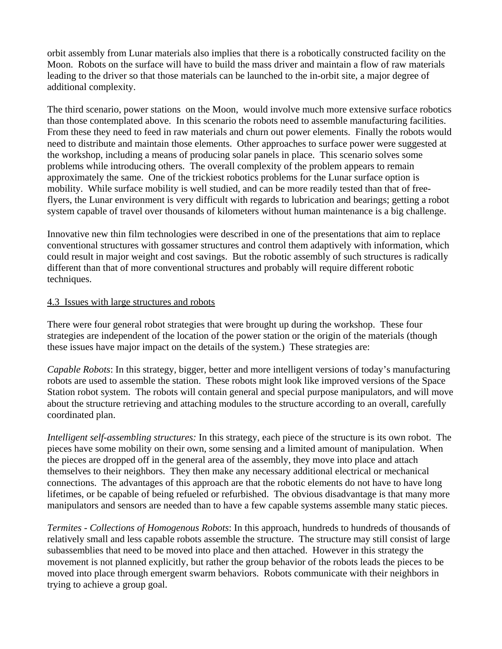orbit assembly from Lunar materials also implies that there is a robotically constructed facility on the Moon. Robots on the surface will have to build the mass driver and maintain a flow of raw materials leading to the driver so that those materials can be launched to the in-orbit site, a major degree of additional complexity.

The third scenario, power stations on the Moon, would involve much more extensive surface robotics than those contemplated above. In this scenario the robots need to assemble manufacturing facilities. From these they need to feed in raw materials and churn out power elements. Finally the robots would need to distribute and maintain those elements. Other approaches to surface power were suggested at the workshop, including a means of producing solar panels in place. This scenario solves some problems while introducing others. The overall complexity of the problem appears to remain approximately the same. One of the trickiest robotics problems for the Lunar surface option is mobility. While surface mobility is well studied, and can be more readily tested than that of freeflyers, the Lunar environment is very difficult with regards to lubrication and bearings; getting a robot system capable of travel over thousands of kilometers without human maintenance is a big challenge.

Innovative new thin film technologies were described in one of the presentations that aim to replace conventional structures with gossamer structures and control them adaptively with information, which could result in major weight and cost savings. But the robotic assembly of such structures is radically different than that of more conventional structures and probably will require different robotic techniques.

#### 4.3 Issues with large structures and robots

There were four general robot strategies that were brought up during the workshop. These four strategies are independent of the location of the power station or the origin of the materials (though these issues have major impact on the details of the system.) These strategies are:

*Capable Robots*: In this strategy, bigger, better and more intelligent versions of today's manufacturing robots are used to assemble the station. These robots might look like improved versions of the Space Station robot system. The robots will contain general and special purpose manipulators, and will move about the structure retrieving and attaching modules to the structure according to an overall, carefully coordinated plan.

*Intelligent self-assembling structures:* In this strategy, each piece of the structure is its own robot. The pieces have some mobility on their own, some sensing and a limited amount of manipulation. When the pieces are dropped off in the general area of the assembly, they move into place and attach themselves to their neighbors. They then make any necessary additional electrical or mechanical connections. The advantages of this approach are that the robotic elements do not have to have long lifetimes, or be capable of being refueled or refurbished. The obvious disadvantage is that many more manipulators and sensors are needed than to have a few capable systems assemble many static pieces.

*Termites - Collections of Homogenous Robots*: In this approach, hundreds to hundreds of thousands of relatively small and less capable robots assemble the structure. The structure may still consist of large subassemblies that need to be moved into place and then attached. However in this strategy the movement is not planned explicitly, but rather the group behavior of the robots leads the pieces to be moved into place through emergent swarm behaviors. Robots communicate with their neighbors in trying to achieve a group goal.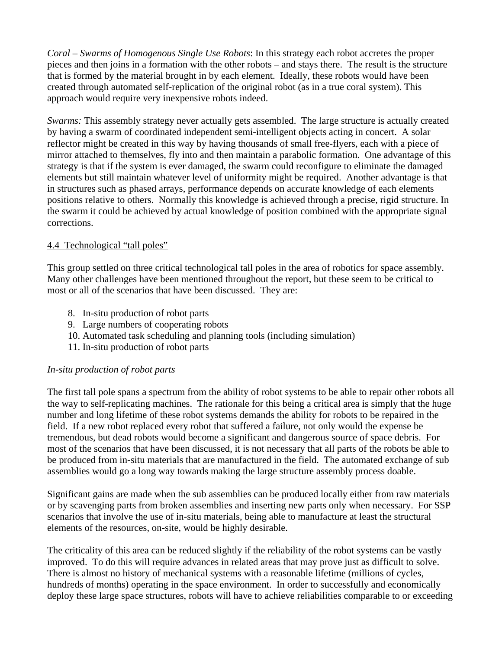*Coral – Swarms of Homogenous Single Use Robots*: In this strategy each robot accretes the proper pieces and then joins in a formation with the other robots – and stays there. The result is the structure that is formed by the material brought in by each element. Ideally, these robots would have been created through automated self-replication of the original robot (as in a true coral system). This approach would require very inexpensive robots indeed.

*Swarms:* This assembly strategy never actually gets assembled. The large structure is actually created by having a swarm of coordinated independent semi-intelligent objects acting in concert. A solar reflector might be created in this way by having thousands of small free-flyers, each with a piece of mirror attached to themselves, fly into and then maintain a parabolic formation. One advantage of this strategy is that if the system is ever damaged, the swarm could reconfigure to eliminate the damaged elements but still maintain whatever level of uniformity might be required. Another advantage is that in structures such as phased arrays, performance depends on accurate knowledge of each elements positions relative to others. Normally this knowledge is achieved through a precise, rigid structure. In the swarm it could be achieved by actual knowledge of position combined with the appropriate signal corrections.

# 4.4 Technological "tall poles"

This group settled on three critical technological tall poles in the area of robotics for space assembly. Many other challenges have been mentioned throughout the report, but these seem to be critical to most or all of the scenarios that have been discussed. They are:

- 8. In-situ production of robot parts
- 9. Large numbers of cooperating robots
- 10. Automated task scheduling and planning tools (including simulation)
- 11. In-situ production of robot parts

#### *In-situ production of robot parts*

The first tall pole spans a spectrum from the ability of robot systems to be able to repair other robots all the way to self-replicating machines. The rationale for this being a critical area is simply that the huge number and long lifetime of these robot systems demands the ability for robots to be repaired in the field. If a new robot replaced every robot that suffered a failure, not only would the expense be tremendous, but dead robots would become a significant and dangerous source of space debris. For most of the scenarios that have been discussed, it is not necessary that all parts of the robots be able to be produced from in-situ materials that are manufactured in the field. The automated exchange of sub assemblies would go a long way towards making the large structure assembly process doable.

Significant gains are made when the sub assemblies can be produced locally either from raw materials or by scavenging parts from broken assemblies and inserting new parts only when necessary. For SSP scenarios that involve the use of in-situ materials, being able to manufacture at least the structural elements of the resources, on-site, would be highly desirable.

The criticality of this area can be reduced slightly if the reliability of the robot systems can be vastly improved. To do this will require advances in related areas that may prove just as difficult to solve. There is almost no history of mechanical systems with a reasonable lifetime (millions of cycles, hundreds of months) operating in the space environment. In order to successfully and economically deploy these large space structures, robots will have to achieve reliabilities comparable to or exceeding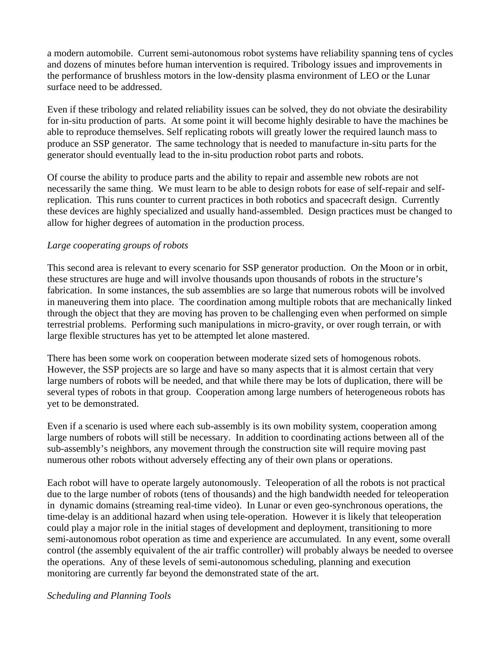a modern automobile. Current semi-autonomous robot systems have reliability spanning tens of cycles and dozens of minutes before human intervention is required. Tribology issues and improvements in the performance of brushless motors in the low-density plasma environment of LEO or the Lunar surface need to be addressed.

Even if these tribology and related reliability issues can be solved, they do not obviate the desirability for in-situ production of parts. At some point it will become highly desirable to have the machines be able to reproduce themselves. Self replicating robots will greatly lower the required launch mass to produce an SSP generator. The same technology that is needed to manufacture in-situ parts for the generator should eventually lead to the in-situ production robot parts and robots.

Of course the ability to produce parts and the ability to repair and assemble new robots are not necessarily the same thing. We must learn to be able to design robots for ease of self-repair and selfreplication. This runs counter to current practices in both robotics and spacecraft design. Currently these devices are highly specialized and usually hand-assembled. Design practices must be changed to allow for higher degrees of automation in the production process.

# *Large cooperating groups of robots*

This second area is relevant to every scenario for SSP generator production. On the Moon or in orbit, these structures are huge and will involve thousands upon thousands of robots in the structure's fabrication. In some instances, the sub assemblies are so large that numerous robots will be involved in maneuvering them into place. The coordination among multiple robots that are mechanically linked through the object that they are moving has proven to be challenging even when performed on simple terrestrial problems. Performing such manipulations in micro-gravity, or over rough terrain, or with large flexible structures has yet to be attempted let alone mastered.

There has been some work on cooperation between moderate sized sets of homogenous robots. However, the SSP projects are so large and have so many aspects that it is almost certain that very large numbers of robots will be needed, and that while there may be lots of duplication, there will be several types of robots in that group. Cooperation among large numbers of heterogeneous robots has yet to be demonstrated.

Even if a scenario is used where each sub-assembly is its own mobility system, cooperation among large numbers of robots will still be necessary. In addition to coordinating actions between all of the sub-assembly's neighbors, any movement through the construction site will require moving past numerous other robots without adversely effecting any of their own plans or operations.

Each robot will have to operate largely autonomously. Teleoperation of all the robots is not practical due to the large number of robots (tens of thousands) and the high bandwidth needed for teleoperation in dynamic domains (streaming real-time video). In Lunar or even geo-synchronous operations, the time-delay is an additional hazard when using tele-operation. However it is likely that teleoperation could play a major role in the initial stages of development and deployment, transitioning to more semi-autonomous robot operation as time and experience are accumulated. In any event, some overall control (the assembly equivalent of the air traffic controller) will probably always be needed to oversee the operations. Any of these levels of semi-autonomous scheduling, planning and execution monitoring are currently far beyond the demonstrated state of the art.

#### *Scheduling and Planning Tools*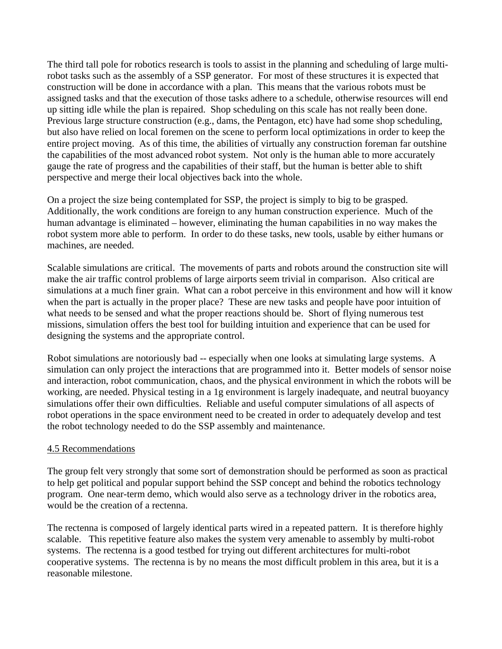The third tall pole for robotics research is tools to assist in the planning and scheduling of large multirobot tasks such as the assembly of a SSP generator. For most of these structures it is expected that construction will be done in accordance with a plan. This means that the various robots must be assigned tasks and that the execution of those tasks adhere to a schedule, otherwise resources will end up sitting idle while the plan is repaired. Shop scheduling on this scale has not really been done. Previous large structure construction (e.g., dams, the Pentagon, etc) have had some shop scheduling, but also have relied on local foremen on the scene to perform local optimizations in order to keep the entire project moving. As of this time, the abilities of virtually any construction foreman far outshine the capabilities of the most advanced robot system. Not only is the human able to more accurately gauge the rate of progress and the capabilities of their staff, but the human is better able to shift perspective and merge their local objectives back into the whole.

On a project the size being contemplated for SSP, the project is simply to big to be grasped. Additionally, the work conditions are foreign to any human construction experience. Much of the human advantage is eliminated – however, eliminating the human capabilities in no way makes the robot system more able to perform. In order to do these tasks, new tools, usable by either humans or machines, are needed.

Scalable simulations are critical. The movements of parts and robots around the construction site will make the air traffic control problems of large airports seem trivial in comparison. Also critical are simulations at a much finer grain. What can a robot perceive in this environment and how will it know when the part is actually in the proper place? These are new tasks and people have poor intuition of what needs to be sensed and what the proper reactions should be. Short of flying numerous test missions, simulation offers the best tool for building intuition and experience that can be used for designing the systems and the appropriate control.

Robot simulations are notoriously bad -- especially when one looks at simulating large systems. A simulation can only project the interactions that are programmed into it. Better models of sensor noise and interaction, robot communication, chaos, and the physical environment in which the robots will be working, are needed. Physical testing in a 1g environment is largely inadequate, and neutral buoyancy simulations offer their own difficulties. Reliable and useful computer simulations of all aspects of robot operations in the space environment need to be created in order to adequately develop and test the robot technology needed to do the SSP assembly and maintenance.

# 4.5 Recommendations

The group felt very strongly that some sort of demonstration should be performed as soon as practical to help get political and popular support behind the SSP concept and behind the robotics technology program. One near-term demo, which would also serve as a technology driver in the robotics area, would be the creation of a rectenna.

The rectenna is composed of largely identical parts wired in a repeated pattern. It is therefore highly scalable. This repetitive feature also makes the system very amenable to assembly by multi-robot systems. The rectenna is a good testbed for trying out different architectures for multi-robot cooperative systems. The rectenna is by no means the most difficult problem in this area, but it is a reasonable milestone.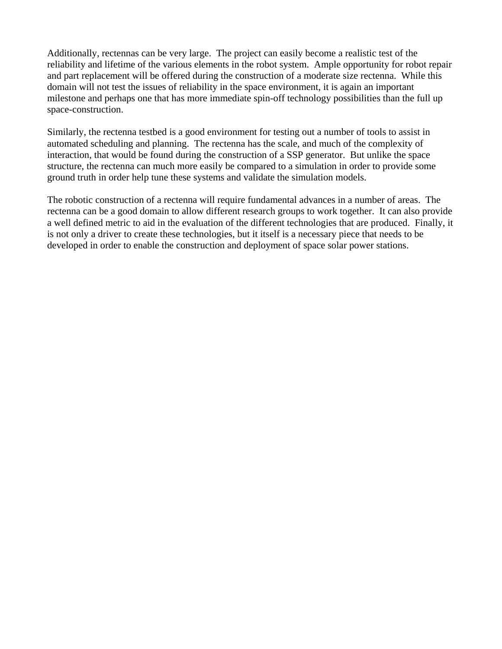Additionally, rectennas can be very large. The project can easily become a realistic test of the reliability and lifetime of the various elements in the robot system. Ample opportunity for robot repair and part replacement will be offered during the construction of a moderate size rectenna. While this domain will not test the issues of reliability in the space environment, it is again an important milestone and perhaps one that has more immediate spin-off technology possibilities than the full up space-construction.

Similarly, the rectenna testbed is a good environment for testing out a number of tools to assist in automated scheduling and planning. The rectenna has the scale, and much of the complexity of interaction, that would be found during the construction of a SSP generator. But unlike the space structure, the rectenna can much more easily be compared to a simulation in order to provide some ground truth in order help tune these systems and validate the simulation models.

The robotic construction of a rectenna will require fundamental advances in a number of areas. The rectenna can be a good domain to allow different research groups to work together. It can also provide a well defined metric to aid in the evaluation of the different technologies that are produced. Finally, it is not only a driver to create these technologies, but it itself is a necessary piece that needs to be developed in order to enable the construction and deployment of space solar power stations.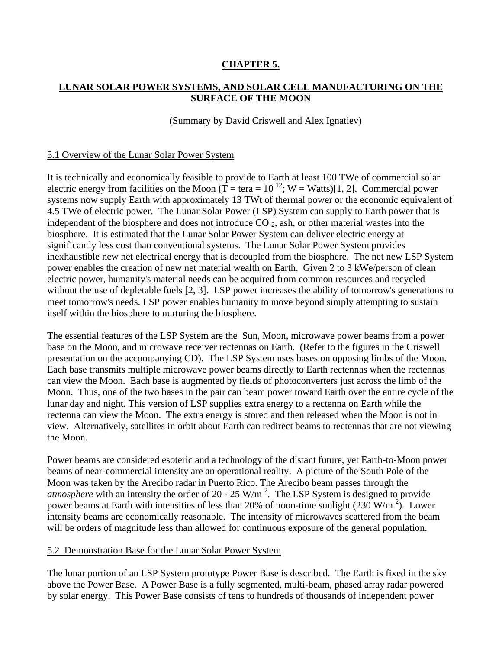# **CHAPTER 5.**

# **LUNAR SOLAR POWER SYSTEMS, AND SOLAR CELL MANUFACTURING ON THE SURFACE OF THE MOON**

#### (Summary by David Criswell and Alex Ignatiev)

#### 5.1 Overview of the Lunar Solar Power System

It is technically and economically feasible to provide to Earth at least 100 TWe of commercial solar electric energy from facilities on the Moon ( $\overline{T}$  = tera = 10<sup>12</sup>; W = Watts)[1, 2]. Commercial power systems now supply Earth with approximately 13 TWt of thermal power or the economic equivalent of 4.5 TWe of electric power. The Lunar Solar Power (LSP) System can supply to Earth power that is independent of the biosphere and does not introduce  $CO_2$ , ash, or other material wastes into the biosphere. It is estimated that the Lunar Solar Power System can deliver electric energy at significantly less cost than conventional systems. The Lunar Solar Power System provides inexhaustible new net electrical energy that is decoupled from the biosphere. The net new LSP System power enables the creation of new net material wealth on Earth. Given 2 to 3 kWe/person of clean electric power, humanity's material needs can be acquired from common resources and recycled without the use of depletable fuels [2, 3]. LSP power increases the ability of tomorrow's generations to meet tomorrow's needs. LSP power enables humanity to move beyond simply attempting to sustain itself within the biosphere to nurturing the biosphere.

The essential features of the LSP System are the Sun, Moon, microwave power beams from a power base on the Moon, and microwave receiver rectennas on Earth. (Refer to the figures in the Criswell presentation on the accompanying CD). The LSP System uses bases on opposing limbs of the Moon. Each base transmits multiple microwave power beams directly to Earth rectennas when the rectennas can view the Moon. Each base is augmented by fields of photoconverters just across the limb of the Moon. Thus, one of the two bases in the pair can beam power toward Earth over the entire cycle of the lunar day and night. This version of LSP supplies extra energy to a rectenna on Earth while the rectenna can view the Moon. The extra energy is stored and then released when the Moon is not in view. Alternatively, satellites in orbit about Earth can redirect beams to rectennas that are not viewing the Moon.

Power beams are considered esoteric and a technology of the distant future, yet Earth-to-Moon power beams of near-commercial intensity are an operational reality. A picture of the South Pole of the Moon was taken by the Arecibo radar in Puerto Rico. The Arecibo beam passes through the *atmosphere* with an intensity the order of 20 - 25 W/m<sup>2</sup>. The LSP System is designed to provide power beams at Earth with intensities of less than 20% of noon-time sunlight  $(230 \text{ W/m}^2)$ . Lower intensity beams are economically reasonable. The intensity of microwaves scattered from the beam will be orders of magnitude less than allowed for continuous exposure of the general population.

#### 5.2 Demonstration Base for the Lunar Solar Power System

The lunar portion of an LSP System prototype Power Base is described. The Earth is fixed in the sky above the Power Base. A Power Base is a fully segmented, multi-beam, phased array radar powered by solar energy. This Power Base consists of tens to hundreds of thousands of independent power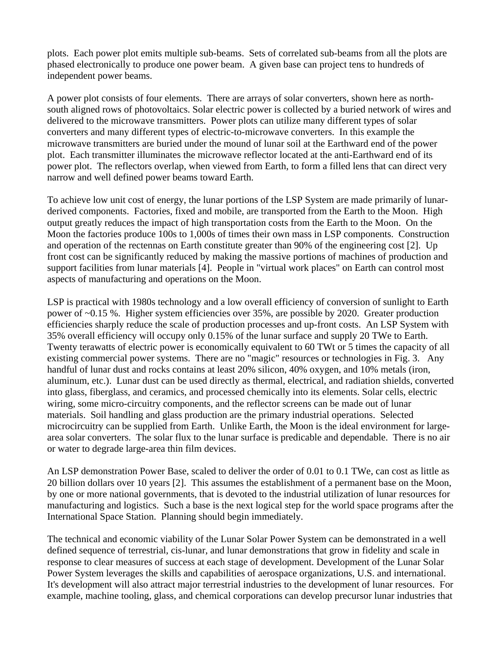plots. Each power plot emits multiple sub-beams. Sets of correlated sub-beams from all the plots are phased electronically to produce one power beam. A given base can project tens to hundreds of independent power beams.

A power plot consists of four elements. There are arrays of solar converters, shown here as northsouth aligned rows of photovoltaics. Solar electric power is collected by a buried network of wires and delivered to the microwave transmitters. Power plots can utilize many different types of solar converters and many different types of electric-to-microwave converters. In this example the microwave transmitters are buried under the mound of lunar soil at the Earthward end of the power plot. Each transmitter illuminates the microwave reflector located at the anti-Earthward end of its power plot. The reflectors overlap, when viewed from Earth, to form a filled lens that can direct very narrow and well defined power beams toward Earth.

To achieve low unit cost of energy, the lunar portions of the LSP System are made primarily of lunarderived components. Factories, fixed and mobile, are transported from the Earth to the Moon. High output greatly reduces the impact of high transportation costs from the Earth to the Moon. On the Moon the factories produce 100s to 1,000s of times their own mass in LSP components. Construction and operation of the rectennas on Earth constitute greater than 90% of the engineering cost [2]. Up front cost can be significantly reduced by making the massive portions of machines of production and support facilities from lunar materials [4]. People in "virtual work places" on Earth can control most aspects of manufacturing and operations on the Moon.

LSP is practical with 1980s technology and a low overall efficiency of conversion of sunlight to Earth power of ~0.15 %. Higher system efficiencies over 35%, are possible by 2020. Greater production efficiencies sharply reduce the scale of production processes and up-front costs. An LSP System with 35% overall efficiency will occupy only 0.15% of the lunar surface and supply 20 TWe to Earth. Twenty terawatts of electric power is economically equivalent to 60 TWt or 5 times the capacity of all existing commercial power systems. There are no "magic" resources or technologies in Fig. 3. Any handful of lunar dust and rocks contains at least 20% silicon, 40% oxygen, and 10% metals (iron, aluminum, etc.). Lunar dust can be used directly as thermal, electrical, and radiation shields, converted into glass, fiberglass, and ceramics, and processed chemically into its elements. Solar cells, electric wiring, some micro-circuitry components, and the reflector screens can be made out of lunar materials. Soil handling and glass production are the primary industrial operations. Selected microcircuitry can be supplied from Earth. Unlike Earth, the Moon is the ideal environment for largearea solar converters. The solar flux to the lunar surface is predicable and dependable. There is no air or water to degrade large-area thin film devices.

An LSP demonstration Power Base, scaled to deliver the order of 0.01 to 0.1 TWe, can cost as little as 20 billion dollars over 10 years [2]. This assumes the establishment of a permanent base on the Moon, by one or more national governments, that is devoted to the industrial utilization of lunar resources for manufacturing and logistics. Such a base is the next logical step for the world space programs after the International Space Station. Planning should begin immediately.

The technical and economic viability of the Lunar Solar Power System can be demonstrated in a well defined sequence of terrestrial, cis-lunar, and lunar demonstrations that grow in fidelity and scale in response to clear measures of success at each stage of development. Development of the Lunar Solar Power System leverages the skills and capabilities of aerospace organizations, U.S. and international. It's development will also attract major terrestrial industries to the development of lunar resources. For example, machine tooling, glass, and chemical corporations can develop precursor lunar industries that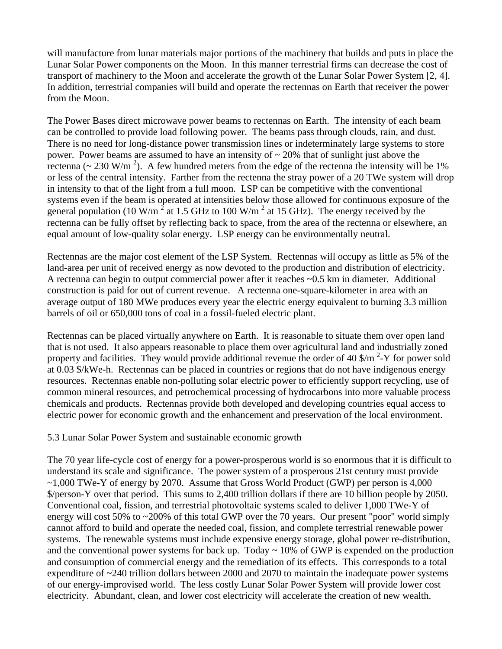will manufacture from lunar materials major portions of the machinery that builds and puts in place the Lunar Solar Power components on the Moon. In this manner terrestrial firms can decrease the cost of transport of machinery to the Moon and accelerate the growth of the Lunar Solar Power System [2, 4]. In addition, terrestrial companies will build and operate the rectennas on Earth that receiver the power from the Moon.

The Power Bases direct microwave power beams to rectennas on Earth. The intensity of each beam can be controlled to provide load following power. The beams pass through clouds, rain, and dust. There is no need for long-distance power transmission lines or indeterminately large systems to store power. Power beams are assumed to have an intensity of  $\sim$  20% that of sunlight just above the rectenna ( $\sim 230$  W/m<sup>2</sup>). A few hundred meters from the edge of the rectenna the intensity will be 1% or less of the central intensity. Farther from the rectenna the stray power of a 20 TWe system will drop in intensity to that of the light from a full moon. LSP can be competitive with the conventional systems even if the beam is operated at intensities below those allowed for continuous exposure of the general population (10 W/m<sup>2</sup> at 1.5 GHz to 100 W/m<sup>2</sup> at 15 GHz). The energy received by the rectenna can be fully offset by reflecting back to space, from the area of the rectenna or elsewhere, an equal amount of low-quality solar energy. LSP energy can be environmentally neutral.

Rectennas are the major cost element of the LSP System. Rectennas will occupy as little as 5% of the land-area per unit of received energy as now devoted to the production and distribution of electricity. A rectenna can begin to output commercial power after it reaches ~0.5 km in diameter. Additional construction is paid for out of current revenue. A rectenna one-square-kilometer in area with an average output of 180 MWe produces every year the electric energy equivalent to burning 3.3 million barrels of oil or 650,000 tons of coal in a fossil-fueled electric plant.

Rectennas can be placed virtually anywhere on Earth. It is reasonable to situate them over open land that is not used. It also appears reasonable to place them over agricultural land and industrially zoned property and facilities. They would provide additional revenue the order of  $40 \frac{\text{m}}{\text{s}}$   $\frac{2 \text{m}}{\text{s}}$  for power sold at 0.03 \$/kWe-h. Rectennas can be placed in countries or regions that do not have indigenous energy resources. Rectennas enable non-polluting solar electric power to efficiently support recycling, use of common mineral resources, and petrochemical processing of hydrocarbons into more valuable process chemicals and products. Rectennas provide both developed and developing countries equal access to electric power for economic growth and the enhancement and preservation of the local environment.

#### 5.3 Lunar Solar Power System and sustainable economic growth

The 70 year life-cycle cost of energy for a power-prosperous world is so enormous that it is difficult to understand its scale and significance. The power system of a prosperous 21st century must provide  $\sim$ 1,000 TWe-Y of energy by 2070. Assume that Gross World Product (GWP) per person is 4,000 \$/person-Y over that period. This sums to 2,400 trillion dollars if there are 10 billion people by 2050. Conventional coal, fission, and terrestrial photovoltaic systems scaled to deliver 1,000 TWe-Y of energy will cost 50% to ~200% of this total GWP over the 70 years. Our present "poor" world simply cannot afford to build and operate the needed coal, fission, and complete terrestrial renewable power systems. The renewable systems must include expensive energy storage, global power re-distribution, and the conventional power systems for back up. Today  $\sim$  10% of GWP is expended on the production and consumption of commercial energy and the remediation of its effects. This corresponds to a total expenditure of ~240 trillion dollars between 2000 and 2070 to maintain the inadequate power systems of our energy-improvised world. The less costly Lunar Solar Power System will provide lower cost electricity. Abundant, clean, and lower cost electricity will accelerate the creation of new wealth.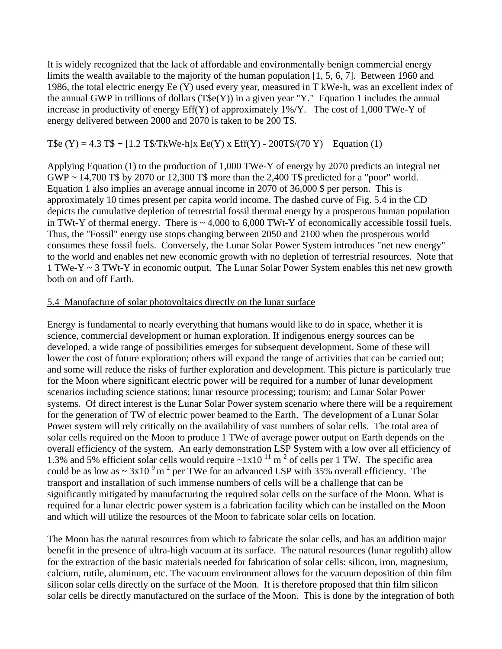It is widely recognized that the lack of affordable and environmentally benign commercial energy limits the wealth available to the majority of the human population [1, 5, 6, 7]. Between 1960 and 1986, the total electric energy Ee (Y) used every year, measured in T kWe-h, was an excellent index of the annual GWP in trillions of dollars  $(T<sup>6</sup>e(Y))$  in a given year "Y." Equation 1 includes the annual increase in productivity of energy Eff(Y) of approximately 1%/Y. The cost of 1,000 TWe-Y of energy delivered between 2000 and 2070 is taken to be 200 T\$.

T\$e (Y) = 4.3 T\$ + [1.2 T\$/TkWe-h]x Ee(Y) x Eff(Y) - 200T\$/(70 Y) Equation (1)

Applying Equation (1) to the production of 1,000 TWe-Y of energy by 2070 predicts an integral net GWP ~ 14,700 T\$ by 2070 or 12,300 T\$ more than the 2,400 T\$ predicted for a "poor" world. Equation 1 also implies an average annual income in 2070 of 36,000 \$ per person. This is approximately 10 times present per capita world income. The dashed curve of Fig. 5.4 in the CD depicts the cumulative depletion of terrestrial fossil thermal energy by a prosperous human population in TWt-Y of thermal energy. There is  $\sim 4,000$  to 6,000 TWt-Y of economically accessible fossil fuels. Thus, the "Fossil" energy use stops changing between 2050 and 2100 when the prosperous world consumes these fossil fuels. Conversely, the Lunar Solar Power System introduces "net new energy" to the world and enables net new economic growth with no depletion of terrestrial resources. Note that 1 TWe-Y ~ 3 TWt-Y in economic output. The Lunar Solar Power System enables this net new growth both on and off Earth.

#### 5.4 Manufacture of solar photovoltaics directly on the lunar surface

Energy is fundamental to nearly everything that humans would like to do in space, whether it is science, commercial development or human exploration. If indigenous energy sources can be developed, a wide range of possibilities emerges for subsequent development. Some of these will lower the cost of future exploration; others will expand the range of activities that can be carried out; and some will reduce the risks of further exploration and development. This picture is particularly true for the Moon where significant electric power will be required for a number of lunar development scenarios including science stations; lunar resource processing; tourism; and Lunar Solar Power systems. Of direct interest is the Lunar Solar Power system scenario where there will be a requirement for the generation of TW of electric power beamed to the Earth. The development of a Lunar Solar Power system will rely critically on the availability of vast numbers of solar cells. The total area of solar cells required on the Moon to produce 1 TWe of average power output on Earth depends on the overall efficiency of the system. An early demonstration LSP System with a low over all efficiency of 1.3% and 5% efficient solar cells would require  $\sim 1x10^{-11}$  m<sup>2</sup> of cells per 1 TW. The specific area could be as low as  $\sim 3x10^{-9}$  m<sup>2</sup> per TWe for an advanced LSP with 35% overall efficiency. The transport and installation of such immense numbers of cells will be a challenge that can be significantly mitigated by manufacturing the required solar cells on the surface of the Moon. What is required for a lunar electric power system is a fabrication facility which can be installed on the Moon and which will utilize the resources of the Moon to fabricate solar cells on location.

The Moon has the natural resources from which to fabricate the solar cells, and has an addition major benefit in the presence of ultra-high vacuum at its surface. The natural resources (lunar regolith) allow for the extraction of the basic materials needed for fabrication of solar cells: silicon, iron, magnesium, calcium, rutile, aluminum, etc. The vacuum environment allows for the vacuum deposition of thin film silicon solar cells directly on the surface of the Moon. It is therefore proposed that thin film silicon solar cells be directly manufactured on the surface of the Moon. This is done by the integration of both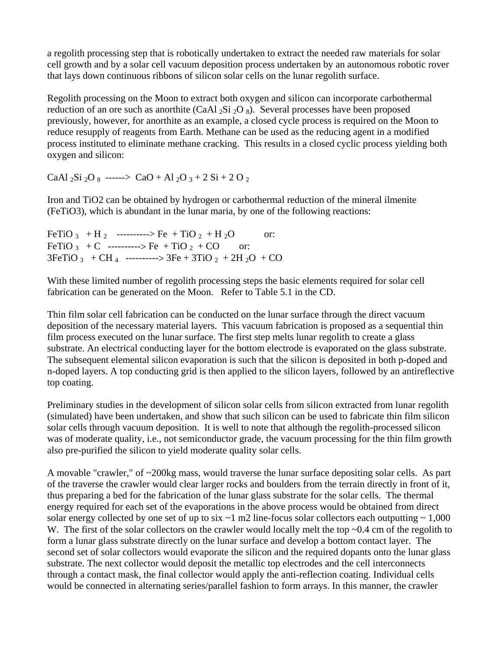a regolith processing step that is robotically undertaken to extract the needed raw materials for solar cell growth and by a solar cell vacuum deposition process undertaken by an autonomous robotic rover that lays down continuous ribbons of silicon solar cells on the lunar regolith surface.

Regolith processing on the Moon to extract both oxygen and silicon can incorporate carbothermal reduction of an ore such as anorthite (CaAl  $_2$ Si  $_2$ O  $_8$ ). Several processes have been proposed previously, however, for anorthite as an example, a closed cycle process is required on the Moon to reduce resupply of reagents from Earth. Methane can be used as the reducing agent in a modified process instituted to eliminate methane cracking. This results in a closed cyclic process yielding both oxygen and silicon:

CaAl  $_2$ Si  $_2$ O  $_8$  ------> CaO + Al  $_2$ O  $_3$  + 2 Si + 2 O  $_2$ 

Iron and TiO2 can be obtained by hydrogen or carbothermal reduction of the mineral ilmenite (FeTiO3), which is abundant in the lunar maria, by one of the following reactions:

|  | FeTiO 3 + H 2 ----------> Fe + TiO 2 + H 2O                                      | $\overline{\text{or}}$ |
|--|----------------------------------------------------------------------------------|------------------------|
|  | FeTiO 3 + C ----------> Fe + TiO 2 + CO or:                                      |                        |
|  | $3FeTiO_3$ + CH <sub>4</sub> ----------> $3Fe + 3TiO_2$ + 2H <sub>2</sub> O + CO |                        |

With these limited number of regolith processing steps the basic elements required for solar cell fabrication can be generated on the Moon. Refer to Table 5.1 in the CD.

Thin film solar cell fabrication can be conducted on the lunar surface through the direct vacuum deposition of the necessary material layers. This vacuum fabrication is proposed as a sequential thin film process executed on the lunar surface. The first step melts lunar regolith to create a glass substrate. An electrical conducting layer for the bottom electrode is evaporated on the glass substrate. The subsequent elemental silicon evaporation is such that the silicon is deposited in both p-doped and n-doped layers. A top conducting grid is then applied to the silicon layers, followed by an antireflective top coating.

Preliminary studies in the development of silicon solar cells from silicon extracted from lunar regolith (simulated) have been undertaken, and show that such silicon can be used to fabricate thin film silicon solar cells through vacuum deposition. It is well to note that although the regolith-processed silicon was of moderate quality, i.e., not semiconductor grade, the vacuum processing for the thin film growth also pre-purified the silicon to yield moderate quality solar cells.

A movable "crawler," of ~200kg mass, would traverse the lunar surface depositing solar cells. As part of the traverse the crawler would clear larger rocks and boulders from the terrain directly in front of it, thus preparing a bed for the fabrication of the lunar glass substrate for the solar cells. The thermal energy required for each set of the evaporations in the above process would be obtained from direct solar energy collected by one set of up to six  $\sim$ 1 m2 line-focus solar collectors each outputting  $\sim$  1,000 W. The first of the solar collectors on the crawler would locally melt the top ~0.4 cm of the regolith to form a lunar glass substrate directly on the lunar surface and develop a bottom contact layer. The second set of solar collectors would evaporate the silicon and the required dopants onto the lunar glass substrate. The next collector would deposit the metallic top electrodes and the cell interconnects through a contact mask, the final collector would apply the anti-reflection coating. Individual cells would be connected in alternating series/parallel fashion to form arrays. In this manner, the crawler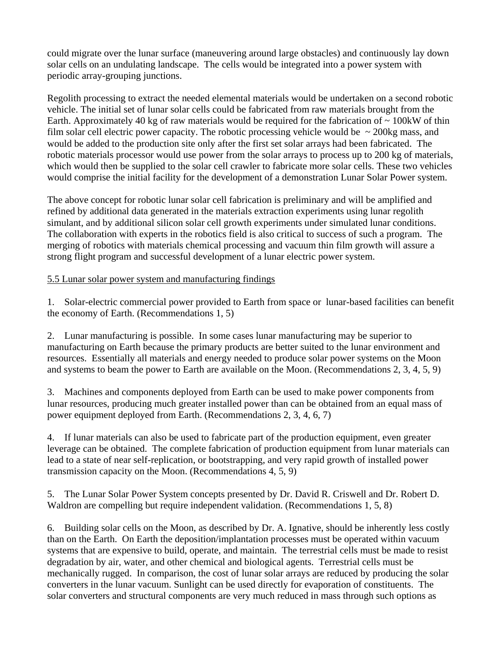could migrate over the lunar surface (maneuvering around large obstacles) and continuously lay down solar cells on an undulating landscape. The cells would be integrated into a power system with periodic array-grouping junctions.

Regolith processing to extract the needed elemental materials would be undertaken on a second robotic vehicle. The initial set of lunar solar cells could be fabricated from raw materials brought from the Earth. Approximately 40 kg of raw materials would be required for the fabrication of  $\sim 100$ kW of thin film solar cell electric power capacity. The robotic processing vehicle would be  $\sim$  200kg mass, and would be added to the production site only after the first set solar arrays had been fabricated. The robotic materials processor would use power from the solar arrays to process up to 200 kg of materials, which would then be supplied to the solar cell crawler to fabricate more solar cells. These two vehicles would comprise the initial facility for the development of a demonstration Lunar Solar Power system.

The above concept for robotic lunar solar cell fabrication is preliminary and will be amplified and refined by additional data generated in the materials extraction experiments using lunar regolith simulant, and by additional silicon solar cell growth experiments under simulated lunar conditions. The collaboration with experts in the robotics field is also critical to success of such a program. The merging of robotics with materials chemical processing and vacuum thin film growth will assure a strong flight program and successful development of a lunar electric power system.

# 5.5 Lunar solar power system and manufacturing findings

1. Solar-electric commercial power provided to Earth from space or lunar-based facilities can benefit the economy of Earth. (Recommendations 1, 5)

2. Lunar manufacturing is possible. In some cases lunar manufacturing may be superior to manufacturing on Earth because the primary products are better suited to the lunar environment and resources. Essentially all materials and energy needed to produce solar power systems on the Moon and systems to beam the power to Earth are available on the Moon. (Recommendations 2, 3, 4, 5, 9)

3. Machines and components deployed from Earth can be used to make power components from lunar resources, producing much greater installed power than can be obtained from an equal mass of power equipment deployed from Earth. (Recommendations 2, 3, 4, 6, 7)

4. If lunar materials can also be used to fabricate part of the production equipment, even greater leverage can be obtained. The complete fabrication of production equipment from lunar materials can lead to a state of near self-replication, or bootstrapping, and very rapid growth of installed power transmission capacity on the Moon. (Recommendations 4, 5, 9)

5. The Lunar Solar Power System concepts presented by Dr. David R. Criswell and Dr. Robert D. Waldron are compelling but require independent validation. (Recommendations 1, 5, 8)

6. Building solar cells on the Moon, as described by Dr. A. Ignative, should be inherently less costly than on the Earth. On Earth the deposition/implantation processes must be operated within vacuum systems that are expensive to build, operate, and maintain. The terrestrial cells must be made to resist degradation by air, water, and other chemical and biological agents. Terrestrial cells must be mechanically rugged. In comparison, the cost of lunar solar arrays are reduced by producing the solar converters in the lunar vacuum. Sunlight can be used directly for evaporation of constituents. The solar converters and structural components are very much reduced in mass through such options as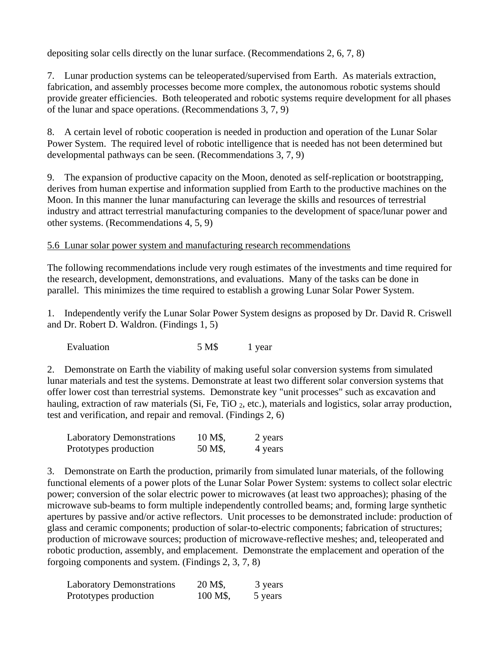depositing solar cells directly on the lunar surface. (Recommendations 2, 6, 7, 8)

7. Lunar production systems can be teleoperated/supervised from Earth. As materials extraction, fabrication, and assembly processes become more complex, the autonomous robotic systems should provide greater efficiencies. Both teleoperated and robotic systems require development for all phases of the lunar and space operations. (Recommendations 3, 7, 9)

8. A certain level of robotic cooperation is needed in production and operation of the Lunar Solar Power System. The required level of robotic intelligence that is needed has not been determined but developmental pathways can be seen. (Recommendations 3, 7, 9)

9. The expansion of productive capacity on the Moon, denoted as self-replication or bootstrapping, derives from human expertise and information supplied from Earth to the productive machines on the Moon. In this manner the lunar manufacturing can leverage the skills and resources of terrestrial industry and attract terrestrial manufacturing companies to the development of space/lunar power and other systems. (Recommendations 4, 5, 9)

# 5.6 Lunar solar power system and manufacturing research recommendations

The following recommendations include very rough estimates of the investments and time required for the research, development, demonstrations, and evaluations. Many of the tasks can be done in parallel. This minimizes the time required to establish a growing Lunar Solar Power System.

1. Independently verify the Lunar Solar Power System designs as proposed by Dr. David R. Criswell and Dr. Robert D. Waldron. (Findings 1, 5)

Evaluation 5 M\$ 1 year

2. Demonstrate on Earth the viability of making useful solar conversion systems from simulated lunar materials and test the systems. Demonstrate at least two different solar conversion systems that offer lower cost than terrestrial systems. Demonstrate key "unit processes" such as excavation and hauling, extraction of raw materials (Si, Fe, TiO  $_2$ , etc.), materials and logistics, solar array production, test and verification, and repair and removal. (Findings 2, 6)

| <b>Laboratory Demonstrations</b> | 10 M\$, | 2 years |
|----------------------------------|---------|---------|
| Prototypes production            | 50 M\$, | 4 years |

3. Demonstrate on Earth the production, primarily from simulated lunar materials, of the following functional elements of a power plots of the Lunar Solar Power System: systems to collect solar electric power; conversion of the solar electric power to microwaves (at least two approaches); phasing of the microwave sub-beams to form multiple independently controlled beams; and, forming large synthetic apertures by passive and/or active reflectors. Unit processes to be demonstrated include: production of glass and ceramic components; production of solar-to-electric components; fabrication of structures; production of microwave sources; production of microwave-reflective meshes; and, teleoperated and robotic production, assembly, and emplacement. Demonstrate the emplacement and operation of the forgoing components and system. (Findings 2, 3, 7, 8)

| <b>Laboratory Demonstrations</b> | 20 M\$,  | 3 years |
|----------------------------------|----------|---------|
| Prototypes production            | 100 M\$, | 5 years |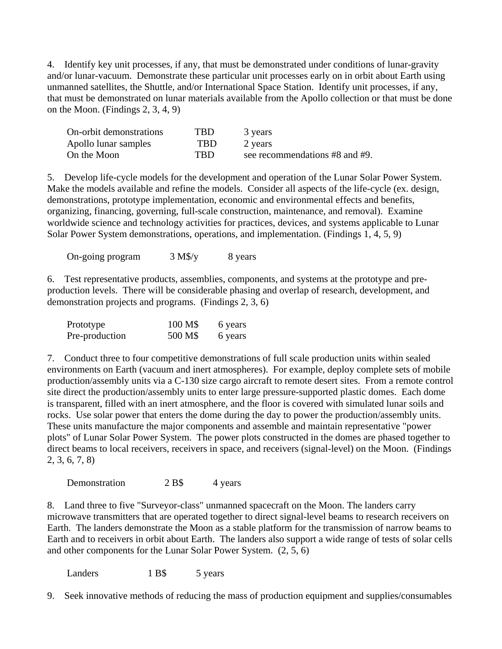4. Identify key unit processes, if any, that must be demonstrated under conditions of lunar-gravity and/or lunar-vacuum. Demonstrate these particular unit processes early on in orbit about Earth using unmanned satellites, the Shuttle, and/or International Space Station. Identify unit processes, if any, that must be demonstrated on lunar materials available from the Apollo collection or that must be done on the Moon. (Findings 2, 3, 4, 9)

| On-orbit demonstrations | <b>TBD</b> | 3 years                        |
|-------------------------|------------|--------------------------------|
| Apollo lunar samples    | TBD        | 2 years                        |
| On the Moon             | TRD        | see recommendations #8 and #9. |

5. Develop life-cycle models for the development and operation of the Lunar Solar Power System. Make the models available and refine the models. Consider all aspects of the life-cycle (ex. design, demonstrations, prototype implementation, economic and environmental effects and benefits, organizing, financing, governing, full-scale construction, maintenance, and removal). Examine worldwide science and technology activities for practices, devices, and systems applicable to Lunar Solar Power System demonstrations, operations, and implementation. (Findings 1, 4, 5, 9)

On-going program  $3 M\frac{8}{y}$  8 years

6. Test representative products, assemblies, components, and systems at the prototype and preproduction levels. There will be considerable phasing and overlap of research, development, and demonstration projects and programs. (Findings 2, 3, 6)

| Prototype      | 100 M\$ | 6 years |
|----------------|---------|---------|
| Pre-production | 500 M\$ | 6 years |

7. Conduct three to four competitive demonstrations of full scale production units within sealed environments on Earth (vacuum and inert atmospheres). For example, deploy complete sets of mobile production/assembly units via a C-130 size cargo aircraft to remote desert sites. From a remote control site direct the production/assembly units to enter large pressure-supported plastic domes. Each dome is transparent, filled with an inert atmosphere, and the floor is covered with simulated lunar soils and rocks. Use solar power that enters the dome during the day to power the production/assembly units. These units manufacture the major components and assemble and maintain representative "power plots" of Lunar Solar Power System. The power plots constructed in the domes are phased together to direct beams to local receivers, receivers in space, and receivers (signal-level) on the Moon. (Findings 2, 3, 6, 7, 8)

Demonstration 2 B\$ 4 years

8. Land three to five "Surveyor-class" unmanned spacecraft on the Moon. The landers carry microwave transmitters that are operated together to direct signal-level beams to research receivers on Earth. The landers demonstrate the Moon as a stable platform for the transmission of narrow beams to Earth and to receivers in orbit about Earth. The landers also support a wide range of tests of solar cells and other components for the Lunar Solar Power System. (2, 5, 6)

Landers 1 B\$ 5 years

9. Seek innovative methods of reducing the mass of production equipment and supplies/consumables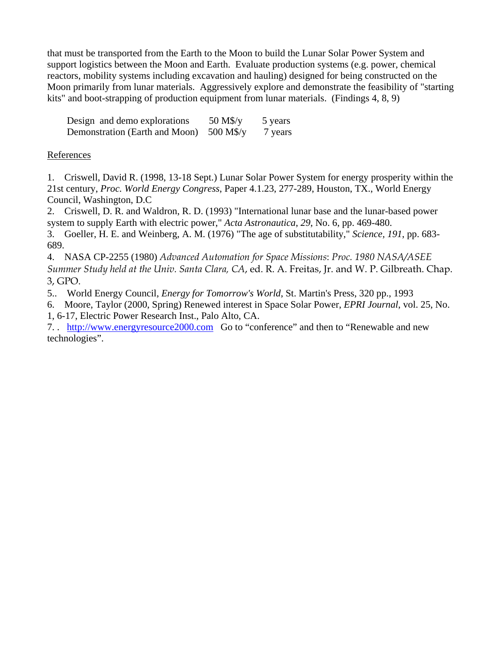that must be transported from the Earth to the Moon to build the Lunar Solar Power System and support logistics between the Moon and Earth. Evaluate production systems (e.g. power, chemical reactors, mobility systems including excavation and hauling) designed for being constructed on the Moon primarily from lunar materials. Aggressively explore and demonstrate the feasibility of "starting kits" and boot-strapping of production equipment from lunar materials. (Findings 4, 8, 9)

| Design and demo explorations   | 50 M\$/y    | 5 years |
|--------------------------------|-------------|---------|
| Demonstration (Earth and Moon) | $500$ M\$/y | 7 years |

# References

1. Criswell, David R. (1998, 13-18 Sept.) Lunar Solar Power System for energy prosperity within the 21st century, *Proc. World Energy Congress*, Paper 4.1.23, 277-289, Houston, TX., World Energy Council, Washington, D.C

2. Criswell, D. R. and Waldron, R. D. (1993) "International lunar base and the lunar-based power system to supply Earth with electric power," *Acta Astronautica*, *29*, No. 6, pp. 469-480.

3. Goeller, H. E. and Weinberg, A. M. (1976) "The age of substitutability," *Science, 191*, pp. 683- 689.

4. NASA CP-2255 (1980) *Advanced Automation for Space Missions*: *Proc. 1980 NASA/ASEE Summer Study held at the Univ. Santa Clara, CA*, ed. R. A. Freitas, Jr. and W. P. Gilbreath. Chap. 3, GPO.

5.. World Energy Council, *Energy for Tomorrow's World*, St. Martin's Press, 320 pp., 1993

6. Moore, Taylor (2000, Spring) Renewed interest in Space Solar Power, *EPRI Journal*, vol. 25, No. 1, 6-17, Electric Power Research Inst., Palo Alto, CA.

7. . http://www.energyresource2000.com Go to "conference" and then to "Renewable and new technologies".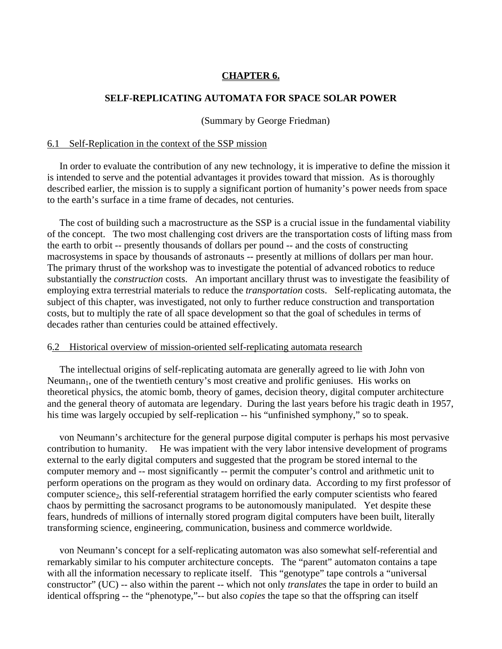# **CHAPTER 6.**

#### **SELF-REPLICATING AUTOMATA FOR SPACE SOLAR POWER**

#### (Summary by George Friedman)

#### 6.1 Self-Replication in the context of the SSP mission

In order to evaluate the contribution of any new technology, it is imperative to define the mission it is intended to serve and the potential advantages it provides toward that mission. As is thoroughly described earlier, the mission is to supply a significant portion of humanity's power needs from space to the earth's surface in a time frame of decades, not centuries.

 The cost of building such a macrostructure as the SSP is a crucial issue in the fundamental viability of the concept. The two most challenging cost drivers are the transportation costs of lifting mass from the earth to orbit -- presently thousands of dollars per pound -- and the costs of constructing macrosystems in space by thousands of astronauts -- presently at millions of dollars per man hour. The primary thrust of the workshop was to investigate the potential of advanced robotics to reduce substantially the *construction* costs. An important ancillary thrust was to investigate the feasibility of employing extra terrestrial materials to reduce the *transportation* costs. Self-replicating automata, the subject of this chapter, was investigated, not only to further reduce construction and transportation costs, but to multiply the rate of all space development so that the goal of schedules in terms of decades rather than centuries could be attained effectively.

#### 6.2 Historical overview of mission-oriented self-replicating automata research

 The intellectual origins of self-replicating automata are generally agreed to lie with John von  $Neumann<sub>1</sub>$ , one of the twentieth century's most creative and prolific geniuses. His works on theoretical physics, the atomic bomb, theory of games, decision theory, digital computer architecture and the general theory of automata are legendary. During the last years before his tragic death in 1957, his time was largely occupied by self-replication -- his "unfinished symphony," so to speak.

 von Neumann's architecture for the general purpose digital computer is perhaps his most pervasive contribution to humanity. He was impatient with the very labor intensive development of programs external to the early digital computers and suggested that the program be stored internal to the computer memory and -- most significantly -- permit the computer's control and arithmetic unit to perform operations on the program as they would on ordinary data. According to my first professor of computer science<sub>2</sub>, this self-referential stratagem horrified the early computer scientists who feared chaos by permitting the sacrosanct programs to be autonomously manipulated. Yet despite these fears, hundreds of millions of internally stored program digital computers have been built, literally transforming science, engineering, communication, business and commerce worldwide.

 von Neumann's concept for a self-replicating automaton was also somewhat self-referential and remarkably similar to his computer architecture concepts. The "parent" automaton contains a tape with all the information necessary to replicate itself. This "genotype" tape controls a "universal constructor" (UC) -- also within the parent -- which not only *translates* the tape in order to build an identical offspring -- the "phenotype,"-- but also *copies* the tape so that the offspring can itself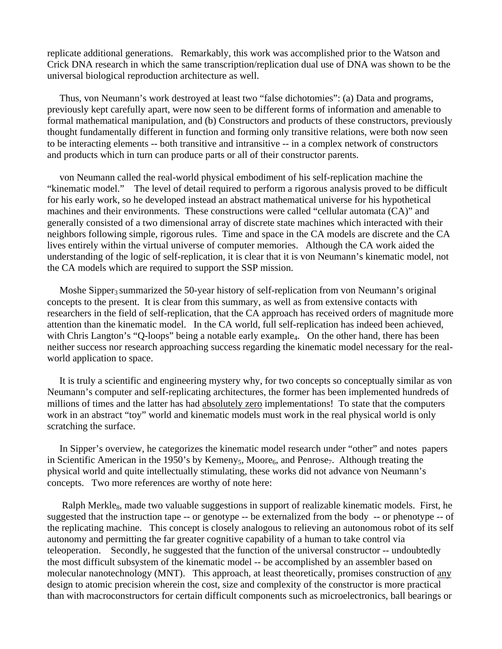replicate additional generations. Remarkably, this work was accomplished prior to the Watson and Crick DNA research in which the same transcription/replication dual use of DNA was shown to be the universal biological reproduction architecture as well.

 Thus, von Neumann's work destroyed at least two "false dichotomies": (a) Data and programs, previously kept carefully apart, were now seen to be different forms of information and amenable to formal mathematical manipulation, and (b) Constructors and products of these constructors, previously thought fundamentally different in function and forming only transitive relations, were both now seen to be interacting elements -- both transitive and intransitive -- in a complex network of constructors and products which in turn can produce parts or all of their constructor parents.

 von Neumann called the real-world physical embodiment of his self-replication machine the "kinematic model." The level of detail required to perform a rigorous analysis proved to be difficult for his early work, so he developed instead an abstract mathematical universe for his hypothetical machines and their environments. These constructions were called "cellular automata (CA)" and generally consisted of a two dimensional array of discrete state machines which interacted with their neighbors following simple, rigorous rules. Time and space in the CA models are discrete and the CA lives entirely within the virtual universe of computer memories. Although the CA work aided the understanding of the logic of self-replication, it is clear that it is von Neumann's kinematic model, not the CA models which are required to support the SSP mission.

Moshe Sipper<sub>3</sub> summarized the 50-year history of self-replication from von Neumann's original concepts to the present. It is clear from this summary, as well as from extensive contacts with researchers in the field of self-replication, that the CA approach has received orders of magnitude more attention than the kinematic model. In the CA world, full self-replication has indeed been achieved, with Chris Langton's "Q-loops" being a notable early example<sub>4</sub>. On the other hand, there has been neither success nor research approaching success regarding the kinematic model necessary for the realworld application to space.

 It is truly a scientific and engineering mystery why, for two concepts so conceptually similar as von Neumann's computer and self-replicating architectures, the former has been implemented hundreds of millions of times and the latter has had absolutely zero implementations! To state that the computers work in an abstract "toy" world and kinematic models must work in the real physical world is only scratching the surface.

 In Sipper's overview, he categorizes the kinematic model research under "other" and notes papers in Scientific American in the 1950's by Kemeny<sub>5</sub>, Moore<sub>6</sub>, and Penrose<sub>7</sub>. Although treating the physical world and quite intellectually stimulating, these works did not advance von Neumann's concepts. Two more references are worthy of note here:

Ralph Merkle<sub>8</sub>, made two valuable suggestions in support of realizable kinematic models. First, he suggested that the instruction tape -- or genotype -- be externalized from the body -- or phenotype -- of the replicating machine. This concept is closely analogous to relieving an autonomous robot of its self autonomy and permitting the far greater cognitive capability of a human to take control via teleoperation. Secondly, he suggested that the function of the universal constructor -- undoubtedly the most difficult subsystem of the kinematic model -- be accomplished by an assembler based on molecular nanotechnology (MNT). This approach, at least theoretically, promises construction of any design to atomic precision wherein the cost, size and complexity of the constructor is more practical than with macroconstructors for certain difficult components such as microelectronics, ball bearings or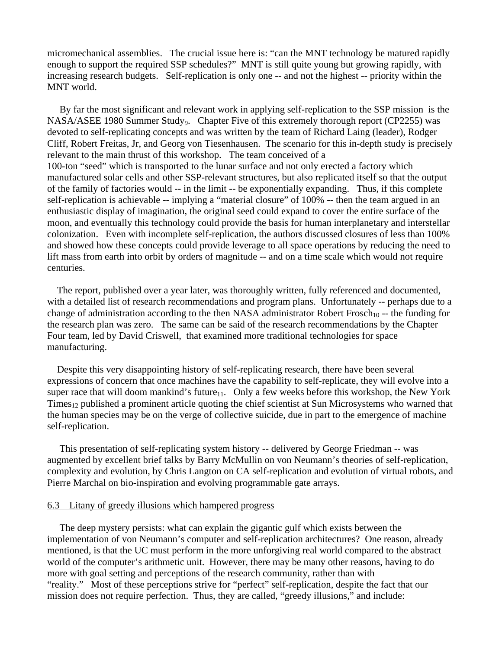micromechanical assemblies. The crucial issue here is: "can the MNT technology be matured rapidly enough to support the required SSP schedules?" MNT is still quite young but growing rapidly, with increasing research budgets. Self-replication is only one -- and not the highest -- priority within the MNT world.

 By far the most significant and relevant work in applying self-replication to the SSP mission is the NASA/ASEE 1980 Summer Study<sub>9</sub>. Chapter Five of this extremely thorough report (CP2255) was devoted to self-replicating concepts and was written by the team of Richard Laing (leader), Rodger Cliff, Robert Freitas, Jr, and Georg von Tiesenhausen. The scenario for this in-depth study is precisely relevant to the main thrust of this workshop. The team conceived of a 100-ton "seed" which is transported to the lunar surface and not only erected a factory which manufactured solar cells and other SSP-relevant structures, but also replicated itself so that the output of the family of factories would -- in the limit -- be exponentially expanding. Thus, if this complete self-replication is achievable -- implying a "material closure" of 100% -- then the team argued in an enthusiastic display of imagination, the original seed could expand to cover the entire surface of the moon, and eventually this technology could provide the basis for human interplanetary and interstellar colonization. Even with incomplete self-replication, the authors discussed closures of less than 100% and showed how these concepts could provide leverage to all space operations by reducing the need to lift mass from earth into orbit by orders of magnitude -- and on a time scale which would not require centuries.

 The report, published over a year later, was thoroughly written, fully referenced and documented, with a detailed list of research recommendations and program plans. Unfortunately -- perhaps due to a change of administration according to the then NASA administrator Robert Frosch<sub>10</sub> -- the funding for the research plan was zero. The same can be said of the research recommendations by the Chapter Four team, led by David Criswell, that examined more traditional technologies for space manufacturing.

 Despite this very disappointing history of self-replicating research, there have been several expressions of concern that once machines have the capability to self-replicate, they will evolve into a super race that will doom mankind's future $_{11}$ . Only a few weeks before this workshop, the New York Times<sub>12</sub> published a prominent article quoting the chief scientist at Sun Microsystems who warned that the human species may be on the verge of collective suicide, due in part to the emergence of machine self-replication.

 This presentation of self-replicating system history -- delivered by George Friedman -- was augmented by excellent brief talks by Barry McMullin on von Neumann's theories of self-replication, complexity and evolution, by Chris Langton on CA self-replication and evolution of virtual robots, and Pierre Marchal on bio-inspiration and evolving programmable gate arrays.

#### 6.3 Litany of greedy illusions which hampered progress

The deep mystery persists: what can explain the gigantic gulf which exists between the implementation of von Neumann's computer and self-replication architectures? One reason, already mentioned, is that the UC must perform in the more unforgiving real world compared to the abstract world of the computer's arithmetic unit. However, there may be many other reasons, having to do more with goal setting and perceptions of the research community, rather than with "reality." Most of these perceptions strive for "perfect" self-replication, despite the fact that our mission does not require perfection. Thus, they are called, "greedy illusions," and include: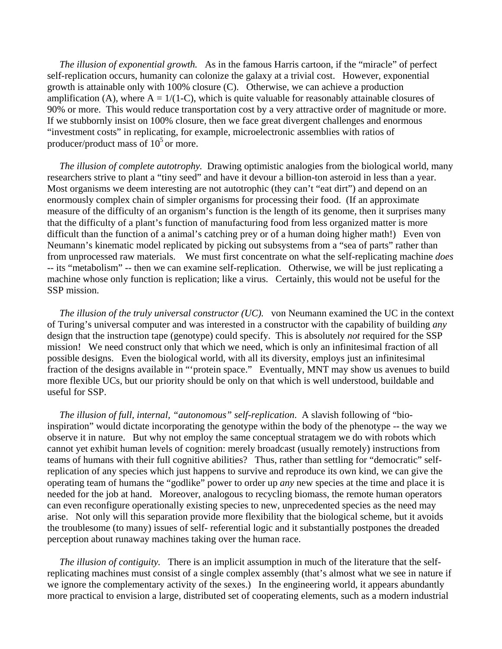*The illusion of exponential growth.* As in the famous Harris cartoon, if the "miracle" of perfect self-replication occurs, humanity can colonize the galaxy at a trivial cost. However, exponential growth is attainable only with 100% closure (C). Otherwise, we can achieve a production amplification (A), where  $A = 1/(1-C)$ , which is quite valuable for reasonably attainable closures of 90% or more. This would reduce transportation cost by a very attractive order of magnitude or more. If we stubbornly insist on 100% closure, then we face great divergent challenges and enormous "investment costs" in replicating, for example, microelectronic assemblies with ratios of producer/product mass of  $10<sup>5</sup>$  or more.

 *The illusion of complete autotrophy.* Drawing optimistic analogies from the biological world, many researchers strive to plant a "tiny seed" and have it devour a billion-ton asteroid in less than a year. Most organisms we deem interesting are not autotrophic (they can't "eat dirt") and depend on an enormously complex chain of simpler organisms for processing their food. (If an approximate measure of the difficulty of an organism's function is the length of its genome, then it surprises many that the difficulty of a plant's function of manufacturing food from less organized matter is more difficult than the function of a animal's catching prey or of a human doing higher math!) Even von Neumann's kinematic model replicated by picking out subsystems from a "sea of parts" rather than from unprocessed raw materials. We must first concentrate on what the self-replicating machine *does*  -- its "metabolism" -- then we can examine self-replication. Otherwise, we will be just replicating a machine whose only function is replication; like a virus. Certainly, this would not be useful for the SSP mission.

 *The illusion of the truly universal constructor (UC).* von Neumann examined the UC in the context of Turing's universal computer and was interested in a constructor with the capability of building *any* design that the instruction tape (genotype) could specify. This is absolutely *not* required for the SSP mission! We need construct only that which we need, which is only an infinitesimal fraction of all possible designs. Even the biological world, with all its diversity, employs just an infinitesimal fraction of the designs available in "'protein space." Eventually, MNT may show us avenues to build more flexible UCs, but our priority should be only on that which is well understood, buildable and useful for SSP.

 *The illusion of full, internal, "autonomous" self-replication*. A slavish following of "bioinspiration" would dictate incorporating the genotype within the body of the phenotype -- the way we observe it in nature. But why not employ the same conceptual stratagem we do with robots which cannot yet exhibit human levels of cognition: merely broadcast (usually remotely) instructions from teams of humans with their full cognitive abilities? Thus, rather than settling for "democratic" selfreplication of any species which just happens to survive and reproduce its own kind, we can give the operating team of humans the "godlike" power to order up *any* new species at the time and place it is needed for the job at hand. Moreover, analogous to recycling biomass, the remote human operators can even reconfigure operationally existing species to new, unprecedented species as the need may arise. Not only will this separation provide more flexibility that the biological scheme, but it avoids the troublesome (to many) issues of self- referential logic and it substantially postpones the dreaded perception about runaway machines taking over the human race.

 *The illusion of contiguity.* There is an implicit assumption in much of the literature that the selfreplicating machines must consist of a single complex assembly (that's almost what we see in nature if we ignore the complementary activity of the sexes.) In the engineering world, it appears abundantly more practical to envision a large, distributed set of cooperating elements, such as a modern industrial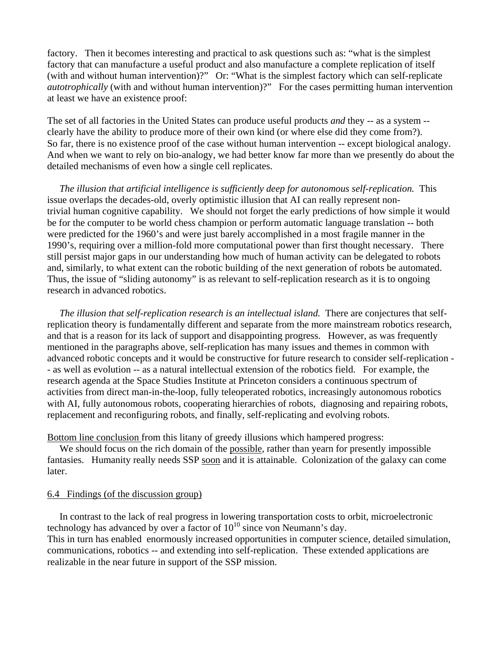factory. Then it becomes interesting and practical to ask questions such as: "what is the simplest factory that can manufacture a useful product and also manufacture a complete replication of itself (with and without human intervention)?" Or: "What is the simplest factory which can self-replicate *autotrophically* (with and without human intervention)?" For the cases permitting human intervention at least we have an existence proof:

The set of all factories in the United States can produce useful products *and* they -- as a system - clearly have the ability to produce more of their own kind (or where else did they come from?). So far, there is no existence proof of the case without human intervention -- except biological analogy. And when we want to rely on bio-analogy, we had better know far more than we presently do about the detailed mechanisms of even how a single cell replicates.

 *The illusion that artificial intelligence is sufficiently deep for autonomous self-replication.* This issue overlaps the decades-old, overly optimistic illusion that AI can really represent nontrivial human cognitive capability. We should not forget the early predictions of how simple it would be for the computer to be world chess champion or perform automatic language translation -- both were predicted for the 1960's and were just barely accomplished in a most fragile manner in the 1990's, requiring over a million-fold more computational power than first thought necessary. There still persist major gaps in our understanding how much of human activity can be delegated to robots and, similarly, to what extent can the robotic building of the next generation of robots be automated. Thus, the issue of "sliding autonomy" is as relevant to self-replication research as it is to ongoing research in advanced robotics.

*The illusion that self-replication research is an intellectual island.* There are conjectures that selfreplication theory is fundamentally different and separate from the more mainstream robotics research, and that is a reason for its lack of support and disappointing progress. However, as was frequently mentioned in the paragraphs above, self-replication has many issues and themes in common with advanced robotic concepts and it would be constructive for future research to consider self-replication - - as well as evolution -- as a natural intellectual extension of the robotics field. For example, the research agenda at the Space Studies Institute at Princeton considers a continuous spectrum of activities from direct man-in-the-loop, fully teleoperated robotics, increasingly autonomous robotics with AI, fully autonomous robots, cooperating hierarchies of robots, diagnosing and repairing robots, replacement and reconfiguring robots, and finally, self-replicating and evolving robots.

Bottom line conclusion from this litany of greedy illusions which hampered progress:

 We should focus on the rich domain of the possible, rather than yearn for presently impossible fantasies. Humanity really needs SSP soon and it is attainable. Colonization of the galaxy can come later.

#### 6.4 Findings (of the discussion group)

 In contrast to the lack of real progress in lowering transportation costs to orbit, microelectronic technology has advanced by over a factor of  $10^{10}$  since von Neumann's day. This in turn has enabled enormously increased opportunities in computer science, detailed simulation, communications, robotics -- and extending into self-replication. These extended applications are realizable in the near future in support of the SSP mission.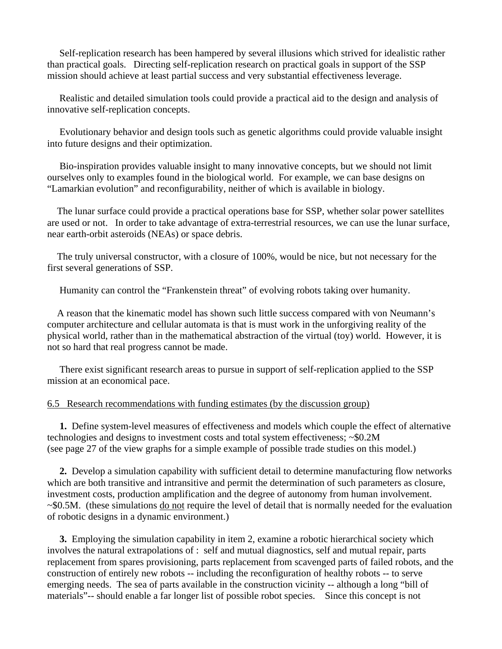Self-replication research has been hampered by several illusions which strived for idealistic rather than practical goals. Directing self-replication research on practical goals in support of the SSP mission should achieve at least partial success and very substantial effectiveness leverage.

 Realistic and detailed simulation tools could provide a practical aid to the design and analysis of innovative self-replication concepts.

 Evolutionary behavior and design tools such as genetic algorithms could provide valuable insight into future designs and their optimization.

 Bio-inspiration provides valuable insight to many innovative concepts, but we should not limit ourselves only to examples found in the biological world. For example, we can base designs on "Lamarkian evolution" and reconfigurability, neither of which is available in biology.

 The lunar surface could provide a practical operations base for SSP, whether solar power satellites are used or not. In order to take advantage of extra-terrestrial resources, we can use the lunar surface, near earth-orbit asteroids (NEAs) or space debris.

 The truly universal constructor, with a closure of 100%, would be nice, but not necessary for the first several generations of SSP.

Humanity can control the "Frankenstein threat" of evolving robots taking over humanity.

 A reason that the kinematic model has shown such little success compared with von Neumann's computer architecture and cellular automata is that is must work in the unforgiving reality of the physical world, rather than in the mathematical abstraction of the virtual (toy) world. However, it is not so hard that real progress cannot be made.

 There exist significant research areas to pursue in support of self-replication applied to the SSP mission at an economical pace.

#### 6.5 Research recommendations with funding estimates (by the discussion group)

 **1.** Define system-level measures of effectiveness and models which couple the effect of alternative technologies and designs to investment costs and total system effectiveness; ~\$0.2M (see page 27 of the view graphs for a simple example of possible trade studies on this model.)

 **2.** Develop a simulation capability with sufficient detail to determine manufacturing flow networks which are both transitive and intransitive and permit the determination of such parameters as closure, investment costs, production amplification and the degree of autonomy from human involvement. ~\$0.5M. (these simulations do not require the level of detail that is normally needed for the evaluation of robotic designs in a dynamic environment.)

 **3.** Employing the simulation capability in item 2, examine a robotic hierarchical society which involves the natural extrapolations of : self and mutual diagnostics, self and mutual repair, parts replacement from spares provisioning, parts replacement from scavenged parts of failed robots, and the construction of entirely new robots -- including the reconfiguration of healthy robots -- to serve emerging needs. The sea of parts available in the construction vicinity -- although a long "bill of materials"-- should enable a far longer list of possible robot species. Since this concept is not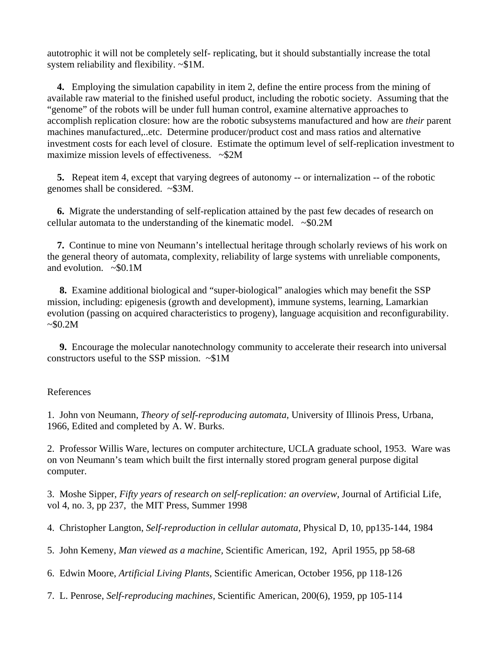autotrophic it will not be completely self- replicating, but it should substantially increase the total system reliability and flexibility. ~\$1M.

 **4.** Employing the simulation capability in item 2, define the entire process from the mining of available raw material to the finished useful product, including the robotic society. Assuming that the "genome" of the robots will be under full human control, examine alternative approaches to accomplish replication closure: how are the robotic subsystems manufactured and how are *their* parent machines manufactured,..etc. Determine producer/product cost and mass ratios and alternative investment costs for each level of closure. Estimate the optimum level of self-replication investment to maximize mission levels of effectiveness. ~\$2M

 **5.** Repeat item 4, except that varying degrees of autonomy -- or internalization -- of the robotic genomes shall be considered. ~\$3M.

 **6.** Migrate the understanding of self-replication attained by the past few decades of research on cellular automata to the understanding of the kinematic model.  $\sim$ \$0.2M

 **7.** Continue to mine von Neumann's intellectual heritage through scholarly reviews of his work on the general theory of automata, complexity, reliability of large systems with unreliable components, and evolution.  $\sim$ \$0.1M

 **8.** Examine additional biological and "super-biological" analogies which may benefit the SSP mission, including: epigenesis (growth and development), immune systems, learning, Lamarkian evolution (passing on acquired characteristics to progeny), language acquisition and reconfigurability.  $~50.2M$ 

 **9.** Encourage the molecular nanotechnology community to accelerate their research into universal constructors useful to the SSP mission.  $\approx $1M$ 

#### References

1. John von Neumann, *Theory of self-reproducing automata,* University of Illinois Press, Urbana, 1966, Edited and completed by A. W. Burks.

2. Professor Willis Ware, lectures on computer architecture, UCLA graduate school, 1953. Ware was on von Neumann's team which built the first internally stored program general purpose digital computer.

3. Moshe Sipper, *Fifty years of research on self-replication: an overview,* Journal of Artificial Life, vol 4, no. 3, pp 237, the MIT Press, Summer 1998

4. Christopher Langton, *Self-reproduction in cellular automata,* Physical D, 10, pp135-144, 1984

5. John Kemeny, *Man viewed as a machine,* Scientific American, 192, April 1955, pp 58-68

6. Edwin Moore, *Artificial Living Plants,* Scientific American, October 1956, pp 118-126

7. L. Penrose, *Self-reproducing machines,* Scientific American, 200(6), 1959, pp 105-114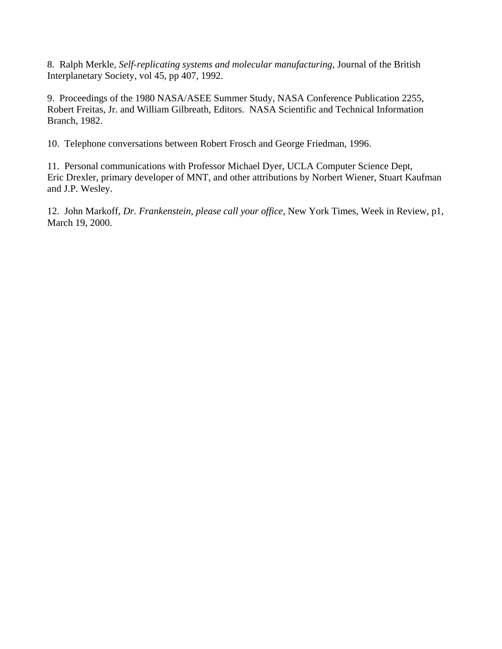8. Ralph Merkle, *Self-replicating systems and molecular manufacturing,* Journal of the British Interplanetary Society, vol 45, pp 407, 1992.

9. Proceedings of the 1980 NASA/ASEE Summer Study, NASA Conference Publication 2255, Robert Freitas, Jr. and William Gilbreath, Editors. NASA Scientific and Technical Information Branch, 1982.

10. Telephone conversations between Robert Frosch and George Friedman, 1996.

11. Personal communications with Professor Michael Dyer, UCLA Computer Science Dept, Eric Drexler, primary developer of MNT, and other attributions by Norbert Wiener, Stuart Kaufman and J.P. Wesley.

12. John Markoff, *Dr. Frankenstein, please call your office,* New York Times, Week in Review, p1, March 19, 2000.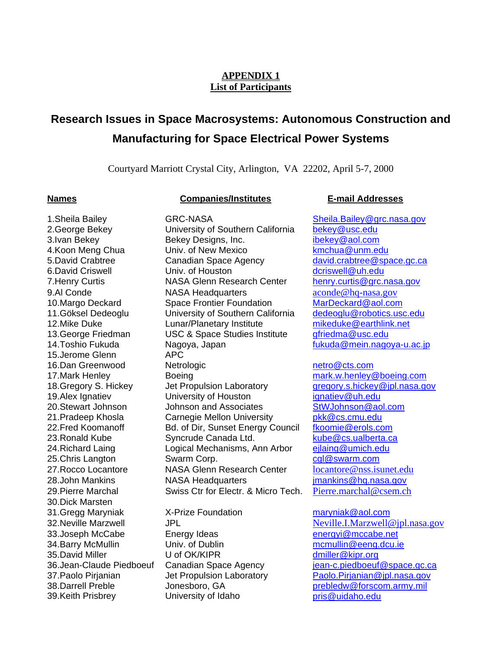# **APPENDIX 1 List of Participants**

# **Research Issues in Space Macrosystems: Autonomous Construction and Manufacturing for Space Electrical Power Systems**

Courtyard Marriott Crystal City, Arlington, VA 22202*,* April 5-7, 2000

#### **Names Companies/Institutes E-mail Addresses**

15.Jerome Glenn APC 20.Stewart Johnson Johnson and Associates 25. Chris Langton Swarm Corp. 30.Dick Marsten

2.George Bekey **University of Southern California** bekey@usc.edu 3.Ivan Bekey **Sekey Designs, Inc.** ibekey@aol.com 4.Koon Meng Chua Univ. of New Mexico kmchua@unm.edu 5.David Crabtree **Canadian Space Agency** david.crabtree@space.gc.ca 6.David Criswell **Criswell** Univ. of Houston **Democration** dcriswell@uh.edu 7. Henry Curtis **NASA Glenn Research Center** henry.curtis@grc.nasa.gov 9.Al Conde **NASA Headquarters** aconde@hq-nasa.gov<br>10.Margo Deckard Space Frontier Foundation MarDeckard@aol.com 10.Margo Deckard Space Frontier Foundation MarDeckard@aol.com<br>11.Göksel Dedeoglu University of Southern California dedeoglu@robotics.usc.edu University of Southern California 12.Mike Duke Lunar/Planetary Institute mikeduke@earthlink.net 13.George Friedman USC & Space Studies Institute gfriedma@usc.edu 14.Toshio Fukuda Nagoya, Japan fukuda@mein.nagoya-u.ac.jp 16.Dan Greenwood and Netrologic netrom metro@cts.com 17.Mark Henley Boeing mark.w.henley@boeing.com 18.Gregory S. Hickey Jet Propulsion Laboratory gregory.s.hickey@jpl.nasa.gov 19.Alex Ignatiev **Commundees** University of Houston<br>
20.Stewart Johnson and Associates **19.9 StwJohnson@aol.com** 21.Pradeep Khosla Carnegie Mellon University pkk@cs.cmu.edu 22. Fred Koomanoff **Bd.** of Dir, Sunset Energy Council fkoomie@erols.com 23.Ronald Kube Syncrude Canada Ltd. kube@cs.ualberta.ca 24.Richard Laing Logical Mechanisms, Ann Arbor eilaing@umich.edu<br>25.Chris Langton Swarm Corp. Corp. Corp@swarm.com 27. Rocco Locantore NASA Glenn Research Center locantore@nss.isunet.edu 28.John Mankins NASA Headquarters jmankins@hq.nasa.gov 29.Pierre Marchal Swiss Ctr for Electr. & Micro Tech. Pierre.marchal@csem.ch

31.Gregg Maryniak X-Prize Foundation maryniak@aol.com 33.Joseph McCabe Energy Ideas energyi@mccabe.net 34.Barry McMullin **Univ. of Dublin** mcmullin@eeng.dcu.ie 35.David Miller U of OK/KIPR dmiller@kipr.org 39.Keith Prisbrey **University of Idaho** pris@uidaho.edu

1.Sheila Bailey **GRC-NASA** Sheila Bailey@grc.nasa.gov

32.Neville Marzwell **JPL** JPL JULE THE Neville.I.Marzwell@jpl.nasa.gov 36.Jean-Claude Piedboeuf Canadian Space Agency jean-c.piedboeuf@space.gc.ca 37. Paolo Pirjanian Jet Propulsion Laboratory Paolo. Pirjanian@jpl.nasa.gov 38.Darrell Preble Jonesboro, GA prebledw@forscom.army.mil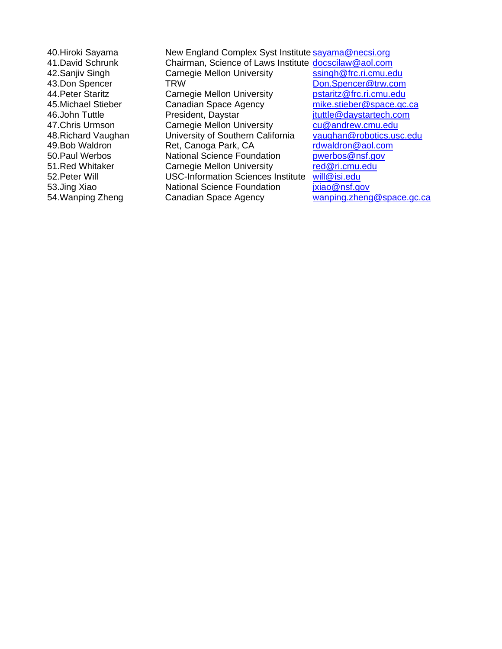40.Hiroki Sayama New England Complex Syst Institute sayama@necsi.org 41.David Schrunk Chairman, Science of Laws Institute **docscilaw@aol.com**<br>42.Saniiv Singh Carnegie Mellon University ssingh@frc.ri.cmu.edu 42. Sanjiv Singh Carnegie Mellon University 43.Don Spencer TRW TRW Don.Spencer@trw.com 44. Peter Staritz **Carnegie Mellon University postaritz@frc.ri.cmu.edu** 45.Michael Stieber Canadian Space Agency mike.stieber@space.gc.ca 46.John Tuttle **National President, Daystar Communisty** en an extended to the President, Daystar and ituttle @daystartech.com<br>47.Chris Urmson Carnegie Mellon University by Cu@andrew.cmu.edu 47.Chris Urmson **Carnegie Mellon University** cu@andrew.cmu.edu<br>48.Richard Vaughan University of Southern California vaughan@robotics.usc.edu 48.Richard Vaughan University of Southern California vaughan@robotics.u<br>49.Bob Waldron Ret, Canoga Park, CA rdwaldron@aol.com 49.Bob Waldron Ret, Canoga Park, CA 50.Paul Werbos Mational Science Foundation bure pwerbos@nsf.gov 51.Red Whitaker Carnegie Mellon University *red@ri.cmu.edu*<br>52.Peter Will COSC-Information Sciences Institute will@isi.edu 52. Peter Will **USC-Information Sciences Institute** 53.Jing Xiao **National Science Foundation** *jxiao@nsf.gov* 54.Wanping Zheng Canadian Space Agency wanping.zheng@space.gc.ca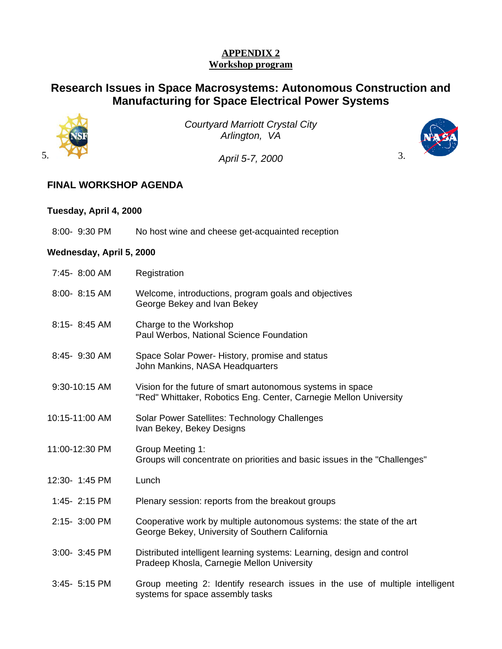# **APPENDIX 2 Workshop program**

# **Research Issues in Space Macrosystems: Autonomous Construction and Manufacturing for Space Electrical Power Systems**



*Courtyard Marriott Crystal City Arlington, VA* 

5. 3. *April 5-7, 2000*



#### **Tuesday, April 4, 2000**

8:00- 9:30 PM No host wine and cheese get-acquainted reception

# **Wednesday, April 5, 2000**

| 7:45- 8:00 AM  | Registration                                                                                                                    |
|----------------|---------------------------------------------------------------------------------------------------------------------------------|
| 8:00- 8:15 AM  | Welcome, introductions, program goals and objectives<br>George Bekey and Ivan Bekey                                             |
| 8:15-8:45 AM   | Charge to the Workshop<br>Paul Werbos, National Science Foundation                                                              |
| 8:45- 9:30 AM  | Space Solar Power-History, promise and status<br>John Mankins, NASA Headquarters                                                |
| 9:30-10:15 AM  | Vision for the future of smart autonomous systems in space<br>"Red" Whittaker, Robotics Eng. Center, Carnegie Mellon University |
| 10:15-11:00 AM | Solar Power Satellites: Technology Challenges<br>Ivan Bekey, Bekey Designs                                                      |
| 11:00-12:30 PM | Group Meeting 1:<br>Groups will concentrate on priorities and basic issues in the "Challenges"                                  |
| 12:30- 1:45 PM | Lunch                                                                                                                           |
| 1:45- 2:15 PM  | Plenary session: reports from the breakout groups                                                                               |
| 2:15- 3:00 PM  | Cooperative work by multiple autonomous systems: the state of the art<br>George Bekey, University of Southern California        |
| 3:00- 3:45 PM  | Distributed intelligent learning systems: Learning, design and control<br>Pradeep Khosla, Carnegie Mellon University            |
| 3:45- 5:15 PM  | Group meeting 2: Identify research issues in the use of multiple intelligent<br>systems for space assembly tasks                |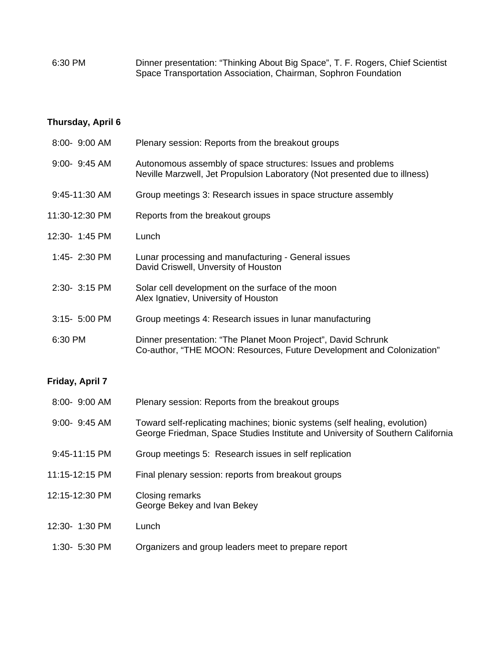6:30 PM Dinner presentation: "Thinking About Big Space", T. F. Rogers, Chief Scientist Space Transportation Association, Chairman, Sophron Foundation

# **Thursday, April 6**

| 8:00- 9:00 AM   | Plenary session: Reports from the breakout groups                                                                                                            |
|-----------------|--------------------------------------------------------------------------------------------------------------------------------------------------------------|
| 9:00- 9:45 AM   | Autonomous assembly of space structures: Issues and problems<br>Neville Marzwell, Jet Propulsion Laboratory (Not presented due to illness)                   |
| 9:45-11:30 AM   | Group meetings 3: Research issues in space structure assembly                                                                                                |
| 11:30-12:30 PM  | Reports from the breakout groups                                                                                                                             |
| 12:30- 1:45 PM  | Lunch                                                                                                                                                        |
| 1:45- 2:30 PM   | Lunar processing and manufacturing - General issues<br>David Criswell, Unversity of Houston                                                                  |
| 2:30- 3:15 PM   | Solar cell development on the surface of the moon<br>Alex Ignatiev, University of Houston                                                                    |
| 3:15- 5:00 PM   | Group meetings 4: Research issues in lunar manufacturing                                                                                                     |
| 6:30 PM         | Dinner presentation: "The Planet Moon Project", David Schrunk<br>Co-author, "THE MOON: Resources, Future Development and Colonization"                       |
| Friday, April 7 |                                                                                                                                                              |
| 8:00- 9:00 AM   | Plenary session: Reports from the breakout groups                                                                                                            |
| 9:00- 9:45 AM   | Toward self-replicating machines; bionic systems (self healing, evolution)<br>George Friedman, Space Studies Institute and University of Southern California |
| 9:45-11:15 PM   | Group meetings 5: Research issues in self replication                                                                                                        |
| 11:15-12:15 PM  | Final plenary session: reports from breakout groups                                                                                                          |
| 12:15-12:30 PM  | Closing remarks<br>George Bekey and Ivan Bekey                                                                                                               |
| 12:30- 1:30 PM  | Lunch                                                                                                                                                        |

1:30- 5:30 PM Organizers and group leaders meet to prepare report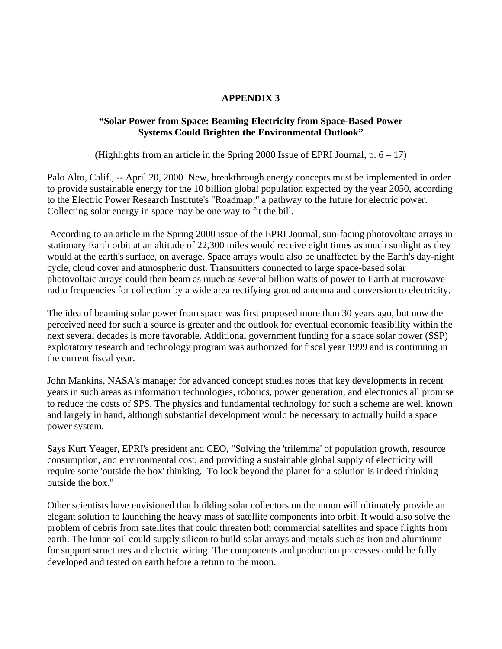# **APPENDIX 3**

# **"Solar Power from Space: Beaming Electricity from Space-Based Power Systems Could Brighten the Environmental Outlook"**

(Highlights from an article in the Spring 2000 Issue of EPRI Journal,  $p. 6 - 17$ )

Palo Alto, Calif., -- April 20, 2000 New, breakthrough energy concepts must be implemented in order to provide sustainable energy for the 10 billion global population expected by the year 2050, according to the Electric Power Research Institute's "Roadmap," a pathway to the future for electric power. Collecting solar energy in space may be one way to fit the bill.

 According to an article in the Spring 2000 issue of the EPRI Journal, sun-facing photovoltaic arrays in stationary Earth orbit at an altitude of 22,300 miles would receive eight times as much sunlight as they would at the earth's surface, on average. Space arrays would also be unaffected by the Earth's day-night cycle, cloud cover and atmospheric dust. Transmitters connected to large space-based solar photovoltaic arrays could then beam as much as several billion watts of power to Earth at microwave radio frequencies for collection by a wide area rectifying ground antenna and conversion to electricity.

The idea of beaming solar power from space was first proposed more than 30 years ago, but now the perceived need for such a source is greater and the outlook for eventual economic feasibility within the next several decades is more favorable. Additional government funding for a space solar power (SSP) exploratory research and technology program was authorized for fiscal year 1999 and is continuing in the current fiscal year.

John Mankins, NASA's manager for advanced concept studies notes that key developments in recent years in such areas as information technologies, robotics, power generation, and electronics all promise to reduce the costs of SPS. The physics and fundamental technology for such a scheme are well known and largely in hand, although substantial development would be necessary to actually build a space power system.

Says Kurt Yeager, EPRI's president and CEO, "Solving the 'trilemma' of population growth, resource consumption, and environmental cost, and providing a sustainable global supply of electricity will require some 'outside the box' thinking. To look beyond the planet for a solution is indeed thinking outside the box."

Other scientists have envisioned that building solar collectors on the moon will ultimately provide an elegant solution to launching the heavy mass of satellite components into orbit. It would also solve the problem of debris from satellites that could threaten both commercial satellites and space flights from earth. The lunar soil could supply silicon to build solar arrays and metals such as iron and aluminum for support structures and electric wiring. The components and production processes could be fully developed and tested on earth before a return to the moon.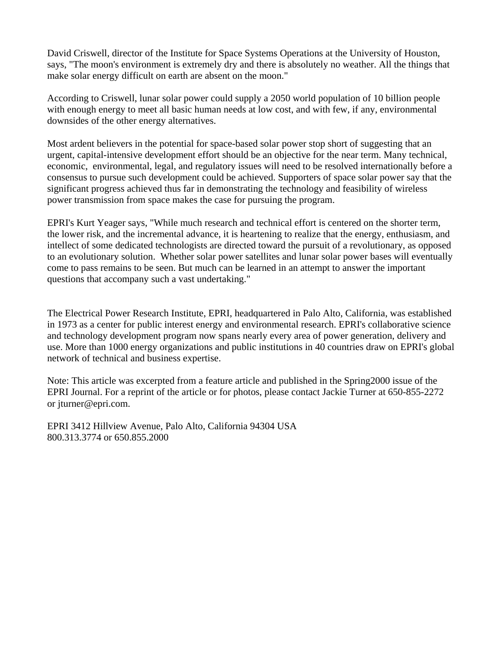David Criswell, director of the Institute for Space Systems Operations at the University of Houston, says, "The moon's environment is extremely dry and there is absolutely no weather. All the things that make solar energy difficult on earth are absent on the moon."

According to Criswell, lunar solar power could supply a 2050 world population of 10 billion people with enough energy to meet all basic human needs at low cost, and with few, if any, environmental downsides of the other energy alternatives.

Most ardent believers in the potential for space-based solar power stop short of suggesting that an urgent, capital-intensive development effort should be an objective for the near term. Many technical, economic, environmental, legal, and regulatory issues will need to be resolved internationally before a consensus to pursue such development could be achieved. Supporters of space solar power say that the significant progress achieved thus far in demonstrating the technology and feasibility of wireless power transmission from space makes the case for pursuing the program.

EPRI's Kurt Yeager says, "While much research and technical effort is centered on the shorter term, the lower risk, and the incremental advance, it is heartening to realize that the energy, enthusiasm, and intellect of some dedicated technologists are directed toward the pursuit of a revolutionary, as opposed to an evolutionary solution. Whether solar power satellites and lunar solar power bases will eventually come to pass remains to be seen. But much can be learned in an attempt to answer the important questions that accompany such a vast undertaking."

The Electrical Power Research Institute, EPRI, headquartered in Palo Alto, California, was established in 1973 as a center for public interest energy and environmental research. EPRI's collaborative science and technology development program now spans nearly every area of power generation, delivery and use. More than 1000 energy organizations and public institutions in 40 countries draw on EPRI's global network of technical and business expertise.

Note: This article was excerpted from a feature article and published in the Spring2000 issue of the EPRI Journal. For a reprint of the article or for photos, please contact Jackie Turner at 650-855-2272 or jturner@epri.com.

EPRI 3412 Hillview Avenue, Palo Alto, California 94304 USA 800.313.3774 or 650.855.2000